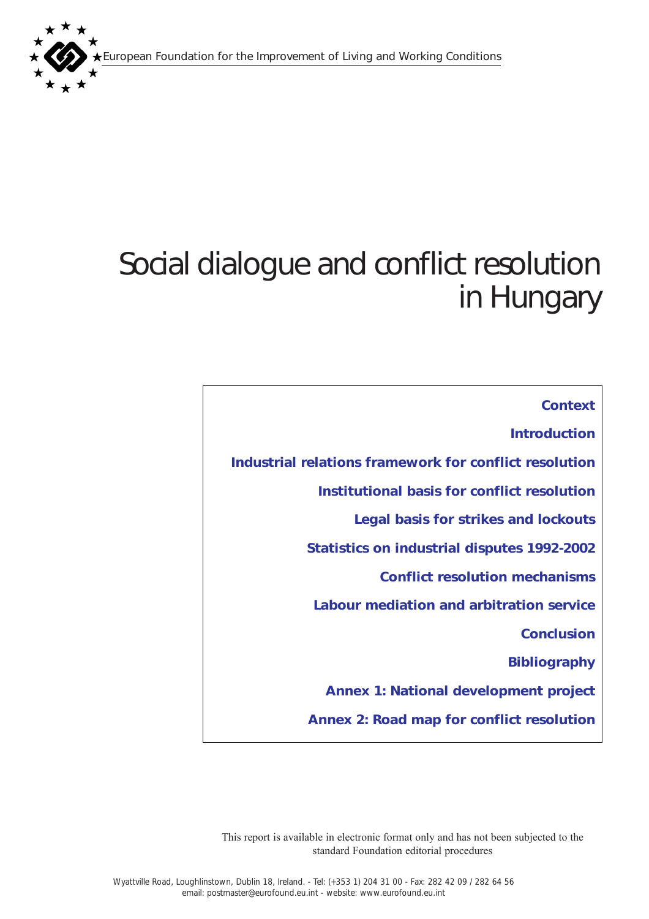European Foundation for the Improvement of Living and Working Conditions



# Social dialogue and conflict resolution in Hungary

*[Context](#page-1-0)*

*[Introduction](#page-1-0)*

*[Industrial relations framework for conflict resolution](#page-2-0)  [Institutional basis for conflict resolution](#page-4-0) [Legal basis for strikes and lockouts](#page-5-0) [Statistics on industrial disputes 1992-2002](#page-11-0) [Conflict resolution mechanisms](#page-16-0) [Labour mediation and arbitration service](#page-17-0) [Conclusion](#page-19-0) [Bibliography](#page-20-0) [Annex 1: National development project](#page-22-0) [Annex 2: Road map for conflict resolution](#page-23-0)*

This report is available in electronic format only and has not been subjected to the standard Foundation editorial procedures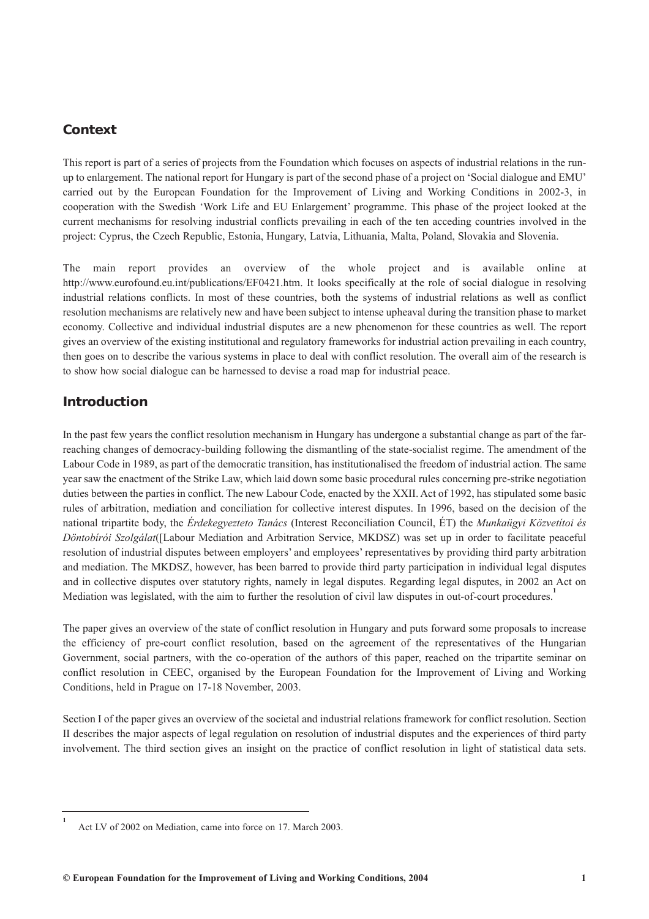# <span id="page-1-0"></span>*Context*

This report is part of a series of projects from the Foundation which focuses on aspects of industrial relations in the runup to enlargement. The national report for Hungary is part of the second phase of a project on 'Social dialogue and EMU' carried out by the European Foundation for the Improvement of Living and Working Conditions in 2002-3, in cooperation with the Swedish 'Work Life and EU Enlargement' programme. This phase of the project looked at the current mechanisms for resolving industrial conflicts prevailing in each of the ten acceding countries involved in the project: Cyprus, the Czech Republic, Estonia, Hungary, Latvia, Lithuania, Malta, Poland, Slovakia and Slovenia.

The main report provides an overview of the whole project and is available online at http://www.eurofound.eu.int/publications/EF0421.htm. It looks specifically at the role of social dialogue in resolving industrial relations conflicts. In most of these countries, both the systems of industrial relations as well as conflict resolution mechanisms are relatively new and have been subject to intense upheaval during the transition phase to market economy. Collective and individual industrial disputes are a new phenomenon for these countries as well. The report gives an overview of the existing institutional and regulatory frameworks for industrial action prevailing in each country, then goes on to describe the various systems in place to deal with conflict resolution. The overall aim of the research is to show how social dialogue can be harnessed to devise a road map for industrial peace.

# *Introduction*

**1**

In the past few years the conflict resolution mechanism in Hungary has undergone a substantial change as part of the farreaching changes of democracy-building following the dismantling of the state-socialist regime. The amendment of the Labour Code in 1989, as part of the democratic transition, has institutionalised the freedom of industrial action. The same year saw the enactment of the Strike Law, which laid down some basic procedural rules concerning pre-strike negotiation duties between the parties in conflict. The new Labour Code, enacted by the XXII. Act of 1992, has stipulated some basic rules of arbitration, mediation and conciliation for collective interest disputes. In 1996, based on the decision of the national tripartite body, the *Érdekegyezteto Tanács* (Interest Reconciliation Council, ÉT) the *Munkaügyi Közvetítoi és Döntobírói Szolgálat*([Labour Mediation and Arbitration Service, MKDSZ) was set up in order to facilitate peaceful resolution of industrial disputes between employers' and employees' representatives by providing third party arbitration and mediation. The MKDSZ, however, has been barred to provide third party participation in individual legal disputes and in collective disputes over statutory rights, namely in legal disputes. Regarding legal disputes, in 2002 an Act on Mediation was legislated, with the aim to further the resolution of civil law disputes in out-of-court procedures.**<sup>1</sup>**

The paper gives an overview of the state of conflict resolution in Hungary and puts forward some proposals to increase the efficiency of pre-court conflict resolution, based on the agreement of the representatives of the Hungarian Government, social partners, with the co-operation of the authors of this paper, reached on the tripartite seminar on conflict resolution in CEEC, organised by the European Foundation for the Improvement of Living and Working Conditions, held in Prague on 17-18 November, 2003.

Section I of the paper gives an overview of the societal and industrial relations framework for conflict resolution. Section II describes the major aspects of legal regulation on resolution of industrial disputes and the experiences of third party involvement. The third section gives an insight on the practice of conflict resolution in light of statistical data sets.

Act LV of 2002 on Mediation, came into force on 17. March 2003.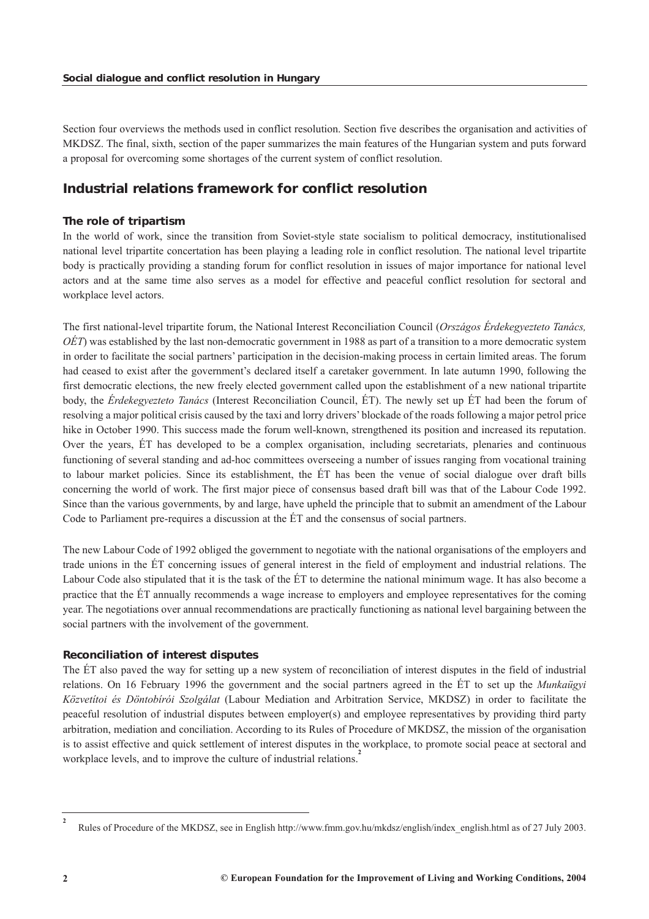<span id="page-2-0"></span>Section four overviews the methods used in conflict resolution. Section five describes the organisation and activities of MKDSZ. The final, sixth, section of the paper summarizes the main features of the Hungarian system and puts forward a proposal for overcoming some shortages of the current system of conflict resolution.

# *Industrial relations framework for conflict resolution*

## *The role of tripartism*

In the world of work, since the transition from Soviet-style state socialism to political democracy, institutionalised national level tripartite concertation has been playing a leading role in conflict resolution. The national level tripartite body is practically providing a standing forum for conflict resolution in issues of major importance for national level actors and at the same time also serves as a model for effective and peaceful conflict resolution for sectoral and workplace level actors.

The first national-level tripartite forum, the National Interest Reconciliation Council (*Országos Érdekegyezteto Tanács, OÉT*) was established by the last non-democratic government in 1988 as part of a transition to a more democratic system in order to facilitate the social partners' participation in the decision-making process in certain limited areas. The forum had ceased to exist after the government's declared itself a caretaker government. In late autumn 1990, following the first democratic elections, the new freely elected government called upon the establishment of a new national tripartite body, the *Érdekegyezteto Tanács* (Interest Reconciliation Council, ÉT). The newly set up ÉT had been the forum of resolving a major political crisis caused by the taxi and lorry drivers' blockade of the roads following a major petrol price hike in October 1990. This success made the forum well-known, strengthened its position and increased its reputation. Over the years, ÉT has developed to be a complex organisation, including secretariats, plenaries and continuous functioning of several standing and ad-hoc committees overseeing a number of issues ranging from vocational training to labour market policies. Since its establishment, the ÉT has been the venue of social dialogue over draft bills concerning the world of work. The first major piece of consensus based draft bill was that of the Labour Code 1992. Since than the various governments, by and large, have upheld the principle that to submit an amendment of the Labour Code to Parliament pre-requires a discussion at the ÉT and the consensus of social partners.

The new Labour Code of 1992 obliged the government to negotiate with the national organisations of the employers and trade unions in the ÉT concerning issues of general interest in the field of employment and industrial relations. The Labour Code also stipulated that it is the task of the ÉT to determine the national minimum wage. It has also become a practice that the ÉT annually recommends a wage increase to employers and employee representatives for the coming year. The negotiations over annual recommendations are practically functioning as national level bargaining between the social partners with the involvement of the government.

## *Reconciliation of interest disputes*

The ÉT also paved the way for setting up a new system of reconciliation of interest disputes in the field of industrial relations. On 16 February 1996 the government and the social partners agreed in the ÉT to set up the *Munkaügyi Közvetítoi és Döntobírói Szolgálat* (Labour Mediation and Arbitration Service, MKDSZ) in order to facilitate the peaceful resolution of industrial disputes between employer(s) and employee representatives by providing third party arbitration, mediation and conciliation. According to its Rules of Procedure of MKDSZ, the mission of the organisation is to assist effective and quick settlement of interest disputes in the workplace, to promote social peace at sectoral and workplace levels, and to improve the culture of industrial relations.<sup>2</sup>

**<sup>2</sup>** Rules of Procedure of the MKDSZ, see in English http://www.fmm.gov.hu/mkdsz/english/index\_english.html as of 27 July 2003.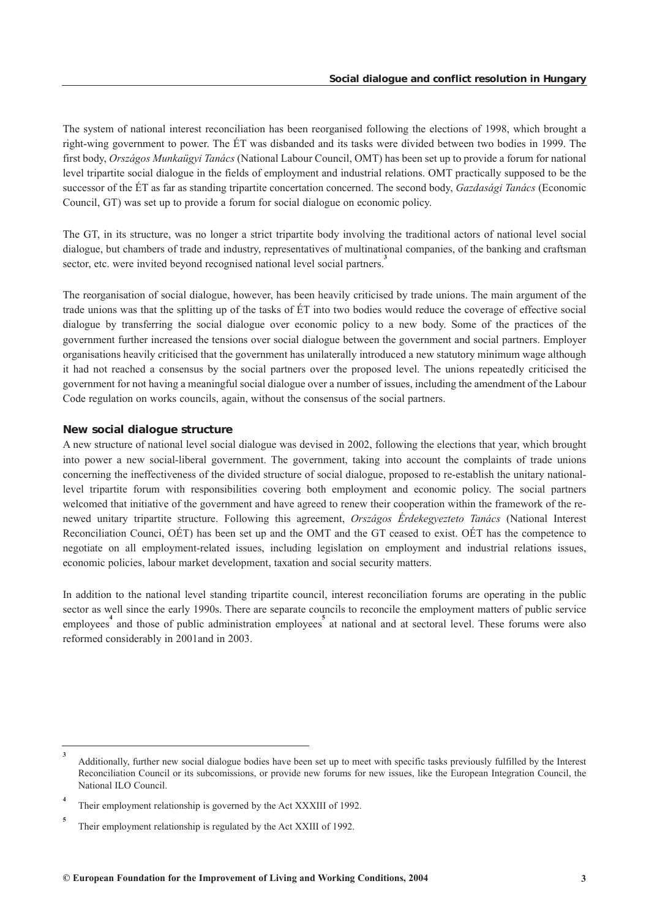The system of national interest reconciliation has been reorganised following the elections of 1998, which brought a right-wing government to power. The ÉT was disbanded and its tasks were divided between two bodies in 1999. The first body, *Országos Munkaügyi Tanács* (National Labour Council, OMT) has been set up to provide a forum for national level tripartite social dialogue in the fields of employment and industrial relations. OMT practically supposed to be the successor of the ÉT as far as standing tripartite concertation concerned. The second body, *Gazdasági Tanács* (Economic Council, GT) was set up to provide a forum for social dialogue on economic policy.

The GT, in its structure, was no longer a strict tripartite body involving the traditional actors of national level social dialogue, but chambers of trade and industry, representatives of multinational companies, of the banking and craftsman sector, etc. were invited beyond recognised national level social partners.<sup>3</sup>

The reorganisation of social dialogue, however, has been heavily criticised by trade unions. The main argument of the trade unions was that the splitting up of the tasks of ÉT into two bodies would reduce the coverage of effective social dialogue by transferring the social dialogue over economic policy to a new body. Some of the practices of the government further increased the tensions over social dialogue between the government and social partners. Employer organisations heavily criticised that the government has unilaterally introduced a new statutory minimum wage although it had not reached a consensus by the social partners over the proposed level. The unions repeatedly criticised the government for not having a meaningful social dialogue over a number of issues, including the amendment of the Labour Code regulation on works councils, again, without the consensus of the social partners.

#### *New social dialogue structure*

A new structure of national level social dialogue was devised in 2002, following the elections that year, which brought into power a new social-liberal government. The government, taking into account the complaints of trade unions concerning the ineffectiveness of the divided structure of social dialogue, proposed to re-establish the unitary nationallevel tripartite forum with responsibilities covering both employment and economic policy. The social partners welcomed that initiative of the government and have agreed to renew their cooperation within the framework of the renewed unitary tripartite structure. Following this agreement, *Országos Érdekegyezteto Tanács* (National Interest Reconciliation Counci, OÉT) has been set up and the OMT and the GT ceased to exist. OÉT has the competence to negotiate on all employment-related issues, including legislation on employment and industrial relations issues, economic policies, labour market development, taxation and social security matters.

In addition to the national level standing tripartite council, interest reconciliation forums are operating in the public sector as well since the early 1990s. There are separate councils to reconcile the employment matters of public service employees<sup>4</sup> and those of public administration employees<sup>5</sup> at national and at sectoral level. These forums were also reformed considerably in 2001and in 2003.

**<sup>3</sup>** Additionally, further new social dialogue bodies have been set up to meet with specific tasks previously fulfilled by the Interest Reconciliation Council or its subcomissions, or provide new forums for new issues, like the European Integration Council, the National ILO Council.

**<sup>4</sup>** Their employment relationship is governed by the Act XXXIII of 1992.

**<sup>5</sup>** Their employment relationship is regulated by the Act XXIII of 1992.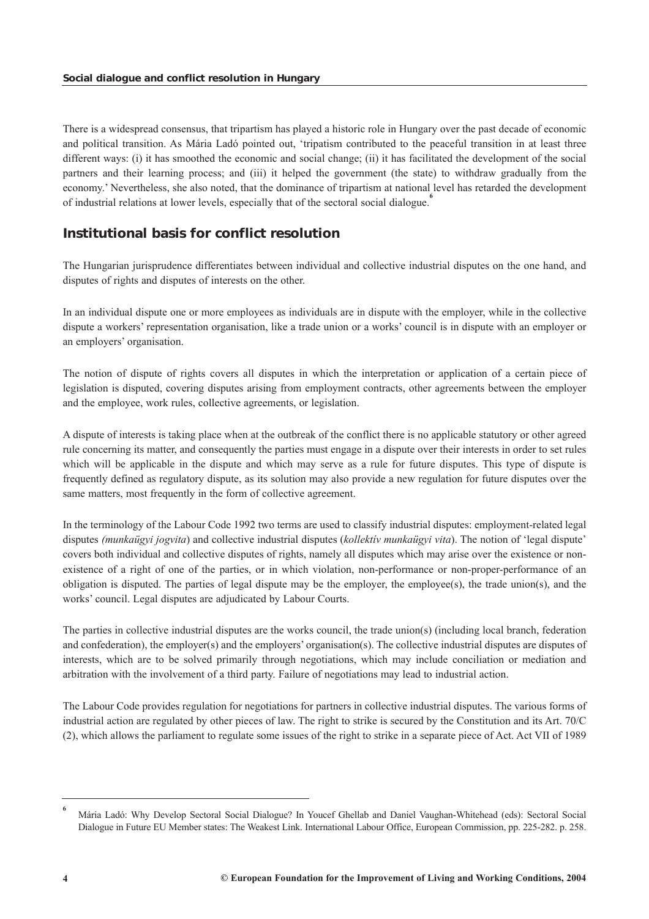<span id="page-4-0"></span>There is a widespread consensus, that tripartism has played a historic role in Hungary over the past decade of economic and political transition. As Mária Ladó pointed out, 'tripatism contributed to the peaceful transition in at least three different ways: (i) it has smoothed the economic and social change; (ii) it has facilitated the development of the social partners and their learning process; and (iii) it helped the government (the state) to withdraw gradually from the economy.' Nevertheless, she also noted, that the dominance of tripartism at national level has retarded the development of industrial relations at lower levels, especially that of the sectoral social dialogue.**<sup>6</sup>**

# *Institutional basis for conflict resolution*

The Hungarian jurisprudence differentiates between individual and collective industrial disputes on the one hand, and disputes of rights and disputes of interests on the other.

In an individual dispute one or more employees as individuals are in dispute with the employer, while in the collective dispute a workers' representation organisation, like a trade union or a works' council is in dispute with an employer or an employers' organisation.

The notion of dispute of rights covers all disputes in which the interpretation or application of a certain piece of legislation is disputed, covering disputes arising from employment contracts, other agreements between the employer and the employee, work rules, collective agreements, or legislation.

A dispute of interests is taking place when at the outbreak of the conflict there is no applicable statutory or other agreed rule concerning its matter, and consequently the parties must engage in a dispute over their interests in order to set rules which will be applicable in the dispute and which may serve as a rule for future disputes. This type of dispute is frequently defined as regulatory dispute, as its solution may also provide a new regulation for future disputes over the same matters, most frequently in the form of collective agreement.

In the terminology of the Labour Code 1992 two terms are used to classify industrial disputes: employment-related legal disputes *(munkaügyi jogvita*) and collective industrial disputes (*kollektív munkaügyi vita*). The notion of 'legal dispute' covers both individual and collective disputes of rights, namely all disputes which may arise over the existence or nonexistence of a right of one of the parties, or in which violation, non-performance or non-proper-performance of an obligation is disputed. The parties of legal dispute may be the employer, the employee(s), the trade union(s), and the works' council. Legal disputes are adjudicated by Labour Courts.

The parties in collective industrial disputes are the works council, the trade union(s) (including local branch, federation and confederation), the employer(s) and the employers' organisation(s). The collective industrial disputes are disputes of interests, which are to be solved primarily through negotiations, which may include conciliation or mediation and arbitration with the involvement of a third party. Failure of negotiations may lead to industrial action.

The Labour Code provides regulation for negotiations for partners in collective industrial disputes. The various forms of industrial action are regulated by other pieces of law. The right to strike is secured by the Constitution and its Art. 70/C (2), which allows the parliament to regulate some issues of the right to strike in a separate piece of Act. Act VII of 1989

**<sup>6</sup>** Mária Ladó: Why Develop Sectoral Social Dialogue? In Youcef Ghellab and Daniel Vaughan-Whitehead (eds): Sectoral Social Dialogue in Future EU Member states: The Weakest Link. International Labour Office, European Commission, pp. 225-282. p. 258.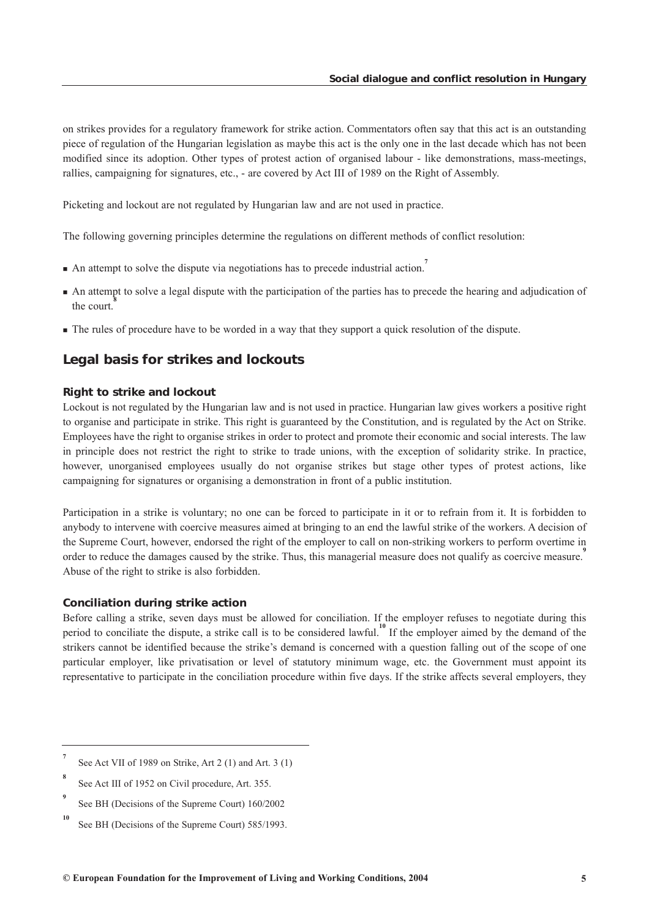<span id="page-5-0"></span>on strikes provides for a regulatory framework for strike action. Commentators often say that this act is an outstanding piece of regulation of the Hungarian legislation as maybe this act is the only one in the last decade which has not been modified since its adoption. Other types of protest action of organised labour - like demonstrations, mass-meetings, rallies, campaigning for signatures, etc., - are covered by Act III of 1989 on the Right of Assembly.

Picketing and lockout are not regulated by Hungarian law and are not used in practice.

The following governing principles determine the regulations on different methods of conflict resolution:

- An attempt to solve the dispute via negotiations has to precede industrial action.<sup>7</sup>
- An attempt to solve a legal dispute with the participation of the parties has to precede the hearing and adjudication of the court.**<sup>8</sup>**
- The rules of procedure have to be worded in a way that they support a quick resolution of the dispute.

## *Legal basis for strikes and lockouts*

#### *Right to strike and lockout*

Lockout is not regulated by the Hungarian law and is not used in practice. Hungarian law gives workers a positive right to organise and participate in strike. This right is guaranteed by the Constitution, and is regulated by the Act on Strike. Employees have the right to organise strikes in order to protect and promote their economic and social interests. The law in principle does not restrict the right to strike to trade unions, with the exception of solidarity strike. In practice, however, unorganised employees usually do not organise strikes but stage other types of protest actions, like campaigning for signatures or organising a demonstration in front of a public institution.

Participation in a strike is voluntary; no one can be forced to participate in it or to refrain from it. It is forbidden to anybody to intervene with coercive measures aimed at bringing to an end the lawful strike of the workers. A decision of the Supreme Court, however, endorsed the right of the employer to call on non-striking workers to perform overtime in order to reduce the damages caused by the strike. Thus, this managerial measure does not qualify as coercive measure.**<sup>9</sup>** Abuse of the right to strike is also forbidden.

#### *Conciliation during strike action*

Before calling a strike, seven days must be allowed for conciliation. If the employer refuses to negotiate during this period to conciliate the dispute, a strike call is to be considered lawful.<sup>10</sup> If the employer aimed by the demand of the strikers cannot be identified because the strike's demand is concerned with a question falling out of the scope of one particular employer, like privatisation or level of statutory minimum wage, etc. the Government must appoint its representative to participate in the conciliation procedure within five days. If the strike affects several employers, they

**<sup>7</sup>** See Act VII of 1989 on Strike, Art 2 (1) and Art. 3 (1)

**<sup>8</sup>** See Act III of 1952 on Civil procedure, Art. 355.

**<sup>9</sup>** See BH (Decisions of the Supreme Court) 160/2002

**<sup>10</sup>** See BH (Decisions of the Supreme Court) 585/1993.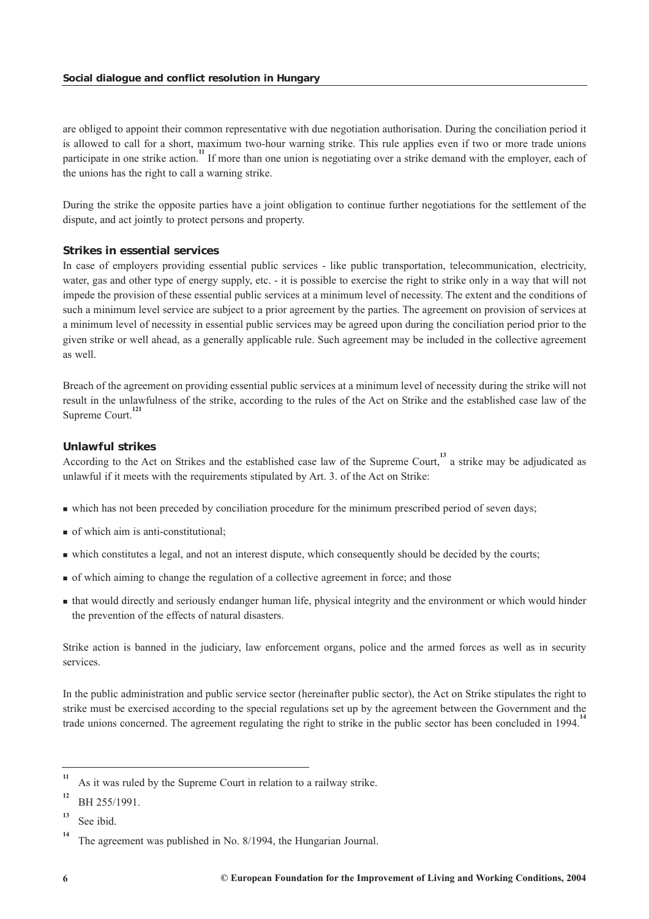are obliged to appoint their common representative with due negotiation authorisation. During the conciliation period it is allowed to call for a short, maximum two-hour warning strike. This rule applies even if two or more trade unions participate in one strike action.<sup>11</sup> If more than one union is negotiating over a strike demand with the employer, each of the unions has the right to call a warning strike.

During the strike the opposite parties have a joint obligation to continue further negotiations for the settlement of the dispute, and act jointly to protect persons and property.

## *Strikes in essential services*

In case of employers providing essential public services - like public transportation, telecommunication, electricity, water, gas and other type of energy supply, etc. - it is possible to exercise the right to strike only in a way that will not impede the provision of these essential public services at a minimum level of necessity. The extent and the conditions of such a minimum level service are subject to a prior agreement by the parties. The agreement on provision of services at a minimum level of necessity in essential public services may be agreed upon during the conciliation period prior to the given strike or well ahead, as a generally applicable rule. Such agreement may be included in the collective agreement as well.

Breach of the agreement on providing essential public services at a minimum level of necessity during the strike will not result in the unlawfulness of the strike, according to the rules of the Act on Strike and the established case law of the Supreme Court.<sup>1</sup>

## *Unlawful strikes*

According to the Act on Strikes and the established case law of the Supreme Court,<sup>13</sup> a strike may be adjudicated as unlawful if it meets with the requirements stipulated by Art. 3. of the Act on Strike:

- which has not been preceded by conciliation procedure for the minimum prescribed period of seven days;
- of which aim is anti-constitutional;
- which constitutes a legal, and not an interest dispute, which consequently should be decided by the courts;
- of which aiming to change the regulation of a collective agreement in force; and those
- that would directly and seriously endanger human life, physical integrity and the environment or which would hinder the prevention of the effects of natural disasters.

Strike action is banned in the judiciary, law enforcement organs, police and the armed forces as well as in security services.

In the public administration and public service sector (hereinafter public sector), the Act on Strike stipulates the right to strike must be exercised according to the special regulations set up by the agreement between the Government and the trade unions concerned. The agreement regulating the right to strike in the public sector has been concluded in 1994.<sup>1</sup>

**<sup>11</sup>** As it was ruled by the Supreme Court in relation to a railway strike.

**<sup>12</sup>** BH 255/1991.

**<sup>13</sup>** See ibid.

**<sup>14</sup>** The agreement was published in No. 8/1994, the Hungarian Journal.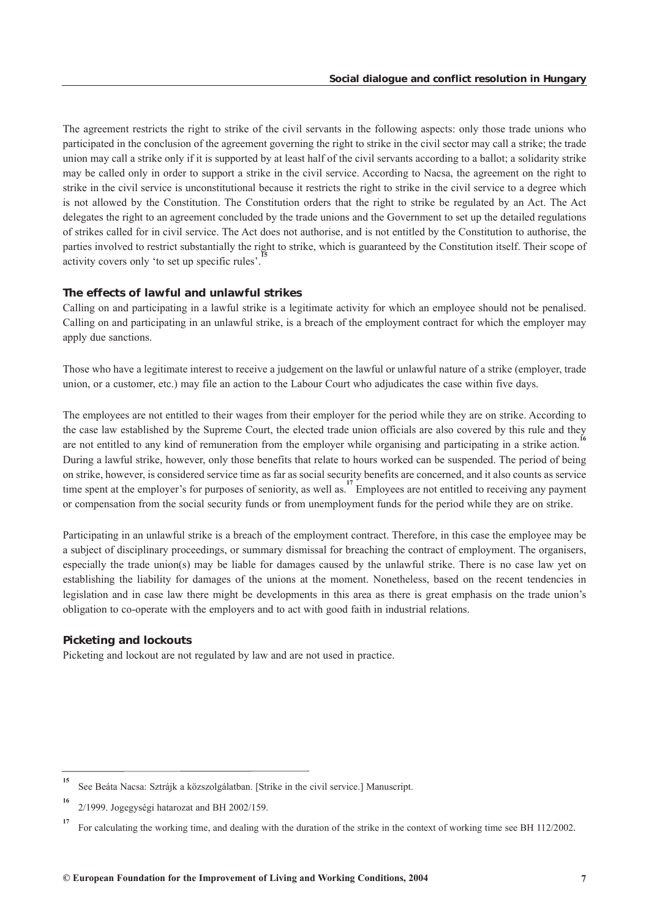The agreement restricts the right to strike of the civil servants in the following aspects: only those trade unions who participated in the conclusion of the agreement governing the right to strike in the civil sector may call a strike; the trade union may call a strike only if it is supported by at least half of the civil servants according to a ballot; a solidarity strike may be called only in order to support a strike in the civil service. According to Nacsa, the agreement on the right to strike in the civil service is unconstitutional because it restricts the right to strike in the civil service to a degree which is not allowed by the Constitution. The Constitution orders that the right to strike be regulated by an Act. The Act delegates the right to an agreement concluded by the trade unions and the Government to set up the detailed regulations of strikes called for in civil service. The Act does not authorise, and is not entitled by the Constitution to authorise, the parties involved to restrict substantially the right to strike, which is guaranteed by the Constitution itself. Their scope of activity covers only 'to set up specific rules'.

#### *The effects of lawful and unlawful strikes*

Calling on and participating in a lawful strike is a legitimate activity for which an employee should not be penalised. Calling on and participating in an unlawful strike, is a breach of the employment contract for which the employer may apply due sanctions.

Those who have a legitimate interest to receive a judgement on the lawful or unlawful nature of a strike (employer, trade union, or a customer, etc.) may file an action to the Labour Court who adjudicates the case within five days.

The employees are not entitled to their wages from their employer for the period while they are on strike. According to the case law established by the Supreme Court, the elected trade union officials are also covered by this rule and they are not entitled to any kind of remuneration from the employer while organising and participating in a strike action. During a lawful strike, however, only those benefits that relate to hours worked can be suspended. The period of being on strike, however, is considered service time as far as social security benefits are concerned, and it also counts as service time spent at the employer's for purposes of seniority, as well as.<sup>17</sup> Employees are not entitled to receiving any payment or compensation from the social security funds or from unemployment funds for the period while they are on strike.

Participating in an unlawful strike is a breach of the employment contract. Therefore, in this case the employee may be a subject of disciplinary proceedings, or summary dismissal for breaching the contract of employment. The organisers, especially the trade union(s) may be liable for damages caused by the unlawful strike. There is no case law yet on establishing the liability for damages of the unions at the moment. Nonetheless, based on the recent tendencies in legislation and in case law there might be developments in this area as there is great emphasis on the trade union's obligation to co-operate with the employers and to act with good faith in industrial relations.

#### *Picketing and lockouts*

Picketing and lockout are not regulated by law and are not used in practice.

**<sup>15</sup>** See Beáta Nacsa: Sztrájk a közszolgálatban. [Strike in the civil service.] Manuscript.

**<sup>16</sup>** 2/1999. Jogegységi hatarozat and BH 2002/159.

**<sup>17</sup>** For calculating the working time, and dealing with the duration of the strike in the context of working time see BH 112/2002.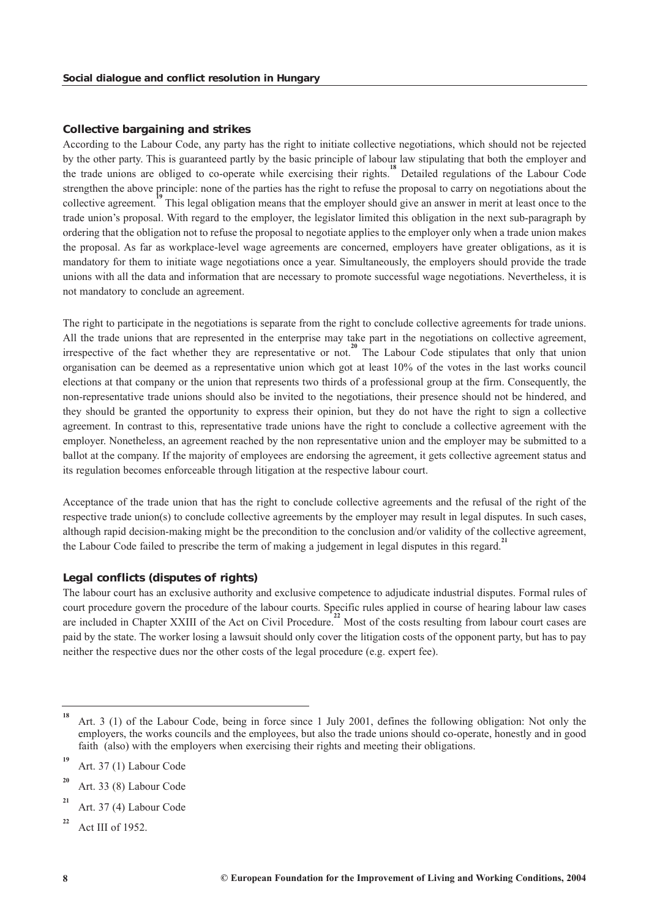## *Collective bargaining and strikes*

According to the Labour Code, any party has the right to initiate collective negotiations, which should not be rejected by the other party. This is guaranteed partly by the basic principle of labour law stipulating that both the employer and the trade unions are obliged to co-operate while exercising their rights.**<sup>18</sup>** Detailed regulations of the Labour Code strengthen the above principle: none of the parties has the right to refuse the proposal to carry on negotiations about the collective agreement.<sup>19</sup> This legal obligation means that the employer should give an answer in merit at least once to the trade union's proposal. With regard to the employer, the legislator limited this obligation in the next sub-paragraph by ordering that the obligation not to refuse the proposal to negotiate applies to the employer only when a trade union makes the proposal. As far as workplace-level wage agreements are concerned, employers have greater obligations, as it is mandatory for them to initiate wage negotiations once a year. Simultaneously, the employers should provide the trade unions with all the data and information that are necessary to promote successful wage negotiations. Nevertheless, it is not mandatory to conclude an agreement.

The right to participate in the negotiations is separate from the right to conclude collective agreements for trade unions. All the trade unions that are represented in the enterprise may take part in the negotiations on collective agreement, irrespective of the fact whether they are representative or not.**<sup>20</sup>** The Labour Code stipulates that only that union organisation can be deemed as a representative union which got at least 10% of the votes in the last works council elections at that company or the union that represents two thirds of a professional group at the firm. Consequently, the non-representative trade unions should also be invited to the negotiations, their presence should not be hindered, and they should be granted the opportunity to express their opinion, but they do not have the right to sign a collective agreement. In contrast to this, representative trade unions have the right to conclude a collective agreement with the employer. Nonetheless, an agreement reached by the non representative union and the employer may be submitted to a ballot at the company. If the majority of employees are endorsing the agreement, it gets collective agreement status and its regulation becomes enforceable through litigation at the respective labour court.

Acceptance of the trade union that has the right to conclude collective agreements and the refusal of the right of the respective trade union(s) to conclude collective agreements by the employer may result in legal disputes. In such cases, although rapid decision-making might be the precondition to the conclusion and/or validity of the collective agreement, the Labour Code failed to prescribe the term of making a judgement in legal disputes in this regard.<sup>21</sup>

#### *Legal conflicts (disputes of rights)*

The labour court has an exclusive authority and exclusive competence to adjudicate industrial disputes. Formal rules of court procedure govern the procedure of the labour courts. Specific rules applied in course of hearing labour law cases are included in Chapter XXIII of the Act on Civil Procedure.<sup>22</sup> Most of the costs resulting from labour court cases are paid by the state. The worker losing a lawsuit should only cover the litigation costs of the opponent party, but has to pay neither the respective dues nor the other costs of the legal procedure (e.g. expert fee).

**<sup>18</sup>** Art. 3 (1) of the Labour Code, being in force since 1 July 2001, defines the following obligation: Not only the employers, the works councils and the employees, but also the trade unions should co-operate, honestly and in good faith (also) with the employers when exercising their rights and meeting their obligations.

**<sup>19</sup>** Art. 37 (1) Labour Code

**<sup>20</sup>** Art. 33 (8) Labour Code

**<sup>21</sup>** Art. 37 (4) Labour Code

**<sup>22</sup>** Act III of 1952.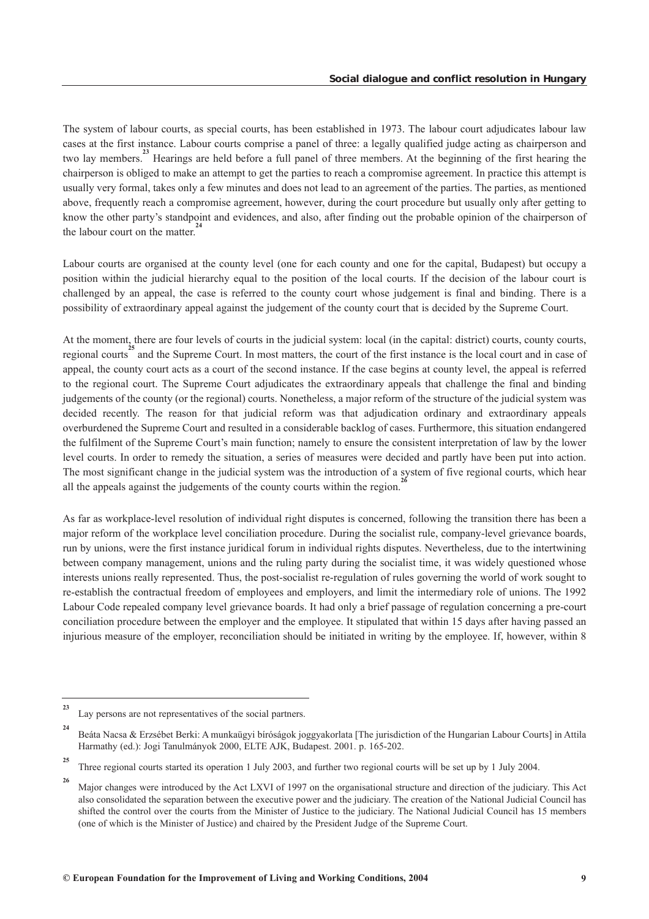The system of labour courts, as special courts, has been established in 1973. The labour court adjudicates labour law cases at the first instance. Labour courts comprise a panel of three: a legally qualified judge acting as chairperson and two lay members.**<sup>23</sup>** Hearings are held before a full panel of three members. At the beginning of the first hearing the chairperson is obliged to make an attempt to get the parties to reach a compromise agreement. In practice this attempt is usually very formal, takes only a few minutes and does not lead to an agreement of the parties. The parties, as mentioned above, frequently reach a compromise agreement, however, during the court procedure but usually only after getting to know the other party's standpoint and evidences, and also, after finding out the probable opinion of the chairperson of the labour court on the matter.<sup>2</sup>

Labour courts are organised at the county level (one for each county and one for the capital, Budapest) but occupy a position within the judicial hierarchy equal to the position of the local courts. If the decision of the labour court is challenged by an appeal, the case is referred to the county court whose judgement is final and binding. There is a possibility of extraordinary appeal against the judgement of the county court that is decided by the Supreme Court.

At the moment, there are four levels of courts in the judicial system: local (in the capital: district) courts, county courts, regional courts<sup>25</sup> and the Supreme Court. In most matters, the court of the first instance is the local court and in case of appeal, the county court acts as a court of the second instance. If the case begins at county level, the appeal is referred to the regional court. The Supreme Court adjudicates the extraordinary appeals that challenge the final and binding judgements of the county (or the regional) courts. Nonetheless, a major reform of the structure of the judicial system was decided recently. The reason for that judicial reform was that adjudication ordinary and extraordinary appeals overburdened the Supreme Court and resulted in a considerable backlog of cases. Furthermore, this situation endangered the fulfilment of the Supreme Court's main function; namely to ensure the consistent interpretation of law by the lower level courts. In order to remedy the situation, a series of measures were decided and partly have been put into action. The most significant change in the judicial system was the introduction of a system of five regional courts, which hear all the appeals against the judgements of the county courts within the region.<sup>2</sup>

As far as workplace-level resolution of individual right disputes is concerned, following the transition there has been a major reform of the workplace level conciliation procedure. During the socialist rule, company-level grievance boards, run by unions, were the first instance juridical forum in individual rights disputes. Nevertheless, due to the intertwining between company management, unions and the ruling party during the socialist time, it was widely questioned whose interests unions really represented. Thus, the post-socialist re-regulation of rules governing the world of work sought to re-establish the contractual freedom of employees and employers, and limit the intermediary role of unions. The 1992 Labour Code repealed company level grievance boards. It had only a brief passage of regulation concerning a pre-court conciliation procedure between the employer and the employee. It stipulated that within 15 days after having passed an injurious measure of the employer, reconciliation should be initiated in writing by the employee. If, however, within 8

**<sup>23</sup>** Lay persons are not representatives of the social partners.

**<sup>24</sup>** Beáta Nacsa & Erzsébet Berki: A munkaügyi bíróságok joggyakorlata [The jurisdiction of the Hungarian Labour Courts] in Attila Harmathy (ed.): Jogi Tanulmányok 2000, ELTE AJK, Budapest. 2001. p. 165-202.

**<sup>25</sup>** Three regional courts started its operation 1 July 2003, and further two regional courts will be set up by 1 July 2004.

**<sup>26</sup>** Major changes were introduced by the Act LXVI of 1997 on the organisational structure and direction of the judiciary. This Act also consolidated the separation between the executive power and the judiciary. The creation of the National Judicial Council has shifted the control over the courts from the Minister of Justice to the judiciary. The National Judicial Council has 15 members (one of which is the Minister of Justice) and chaired by the President Judge of the Supreme Court.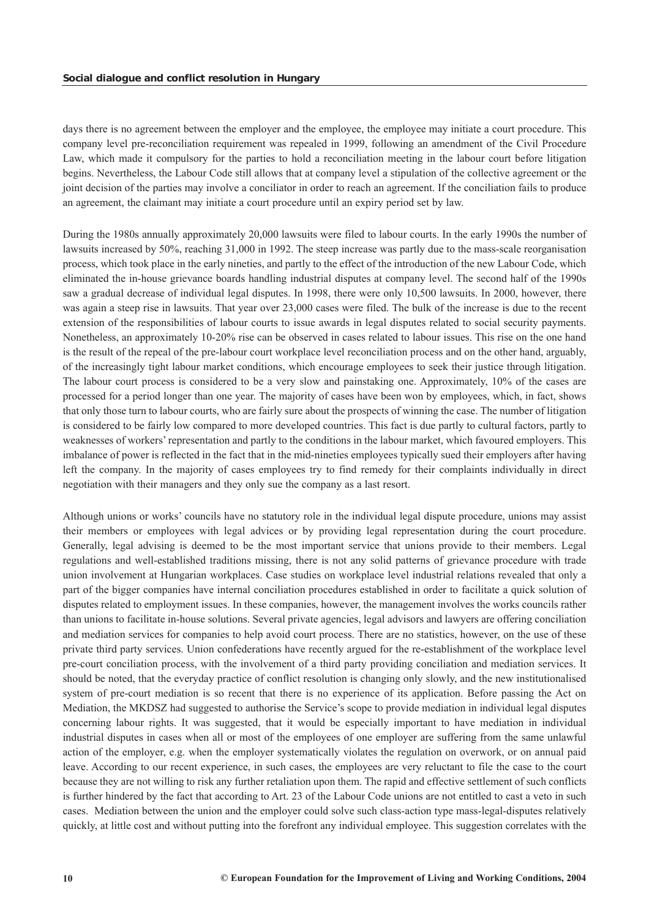days there is no agreement between the employer and the employee, the employee may initiate a court procedure. This company level pre-reconciliation requirement was repealed in 1999, following an amendment of the Civil Procedure Law, which made it compulsory for the parties to hold a reconciliation meeting in the labour court before litigation begins. Nevertheless, the Labour Code still allows that at company level a stipulation of the collective agreement or the joint decision of the parties may involve a conciliator in order to reach an agreement. If the conciliation fails to produce an agreement, the claimant may initiate a court procedure until an expiry period set by law.

During the 1980s annually approximately 20,000 lawsuits were filed to labour courts. In the early 1990s the number of lawsuits increased by 50%, reaching 31,000 in 1992. The steep increase was partly due to the mass-scale reorganisation process, which took place in the early nineties, and partly to the effect of the introduction of the new Labour Code, which eliminated the in-house grievance boards handling industrial disputes at company level. The second half of the 1990s saw a gradual decrease of individual legal disputes. In 1998, there were only 10,500 lawsuits. In 2000, however, there was again a steep rise in lawsuits. That year over 23,000 cases were filed. The bulk of the increase is due to the recent extension of the responsibilities of labour courts to issue awards in legal disputes related to social security payments. Nonetheless, an approximately 10-20% rise can be observed in cases related to labour issues. This rise on the one hand is the result of the repeal of the pre-labour court workplace level reconciliation process and on the other hand, arguably, of the increasingly tight labour market conditions, which encourage employees to seek their justice through litigation. The labour court process is considered to be a very slow and painstaking one. Approximately, 10% of the cases are processed for a period longer than one year. The majority of cases have been won by employees, which, in fact, shows that only those turn to labour courts, who are fairly sure about the prospects of winning the case. The number of litigation is considered to be fairly low compared to more developed countries. This fact is due partly to cultural factors, partly to weaknesses of workers' representation and partly to the conditions in the labour market, which favoured employers. This imbalance of power is reflected in the fact that in the mid-nineties employees typically sued their employers after having left the company. In the majority of cases employees try to find remedy for their complaints individually in direct negotiation with their managers and they only sue the company as a last resort.

Although unions or works' councils have no statutory role in the individual legal dispute procedure, unions may assist their members or employees with legal advices or by providing legal representation during the court procedure. Generally, legal advising is deemed to be the most important service that unions provide to their members. Legal regulations and well-established traditions missing, there is not any solid patterns of grievance procedure with trade union involvement at Hungarian workplaces. Case studies on workplace level industrial relations revealed that only a part of the bigger companies have internal conciliation procedures established in order to facilitate a quick solution of disputes related to employment issues. In these companies, however, the management involves the works councils rather than unions to facilitate in-house solutions. Several private agencies, legal advisors and lawyers are offering conciliation and mediation services for companies to help avoid court process. There are no statistics, however, on the use of these private third party services. Union confederations have recently argued for the re-establishment of the workplace level pre-court conciliation process, with the involvement of a third party providing conciliation and mediation services. It should be noted, that the everyday practice of conflict resolution is changing only slowly, and the new institutionalised system of pre-court mediation is so recent that there is no experience of its application. Before passing the Act on Mediation, the MKDSZ had suggested to authorise the Service's scope to provide mediation in individual legal disputes concerning labour rights. It was suggested, that it would be especially important to have mediation in individual industrial disputes in cases when all or most of the employees of one employer are suffering from the same unlawful action of the employer, e.g. when the employer systematically violates the regulation on overwork, or on annual paid leave. According to our recent experience, in such cases, the employees are very reluctant to file the case to the court because they are not willing to risk any further retaliation upon them. The rapid and effective settlement of such conflicts is further hindered by the fact that according to Art. 23 of the Labour Code unions are not entitled to cast a veto in such cases. Mediation between the union and the employer could solve such class-action type mass-legal-disputes relatively quickly, at little cost and without putting into the forefront any individual employee. This suggestion correlates with the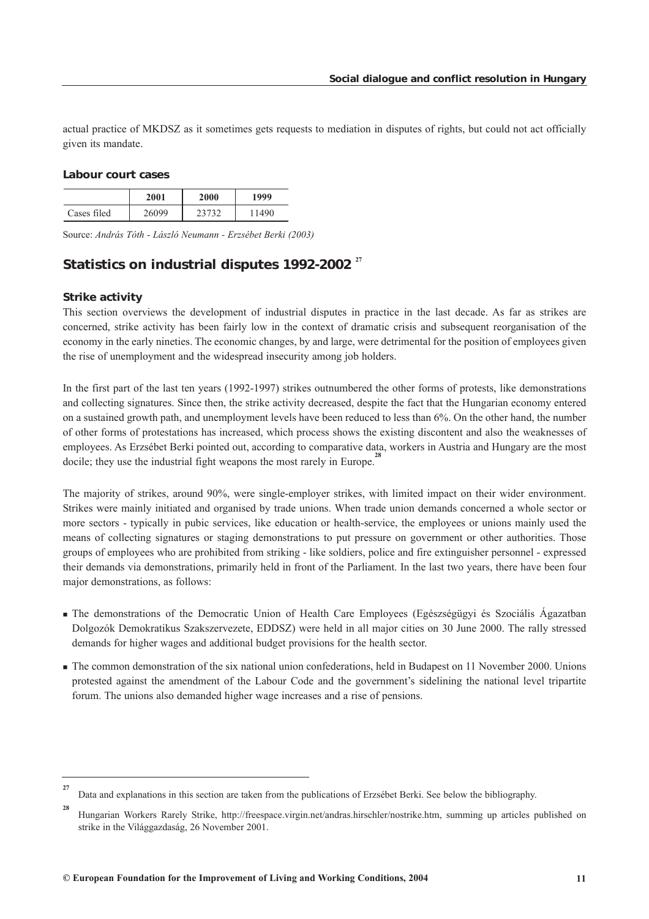<span id="page-11-0"></span>actual practice of MKDSZ as it sometimes gets requests to mediation in disputes of rights, but could not act officially given its mandate.

#### *Labour court cases*

|             | 2001  | 2000 | 1999  |
|-------------|-------|------|-------|
| Cases filed | 26099 |      | 11490 |

Source: *András Tóth - László Neumann - Erzsébet Berki (2003)*

## *Statistics on industrial disputes 1992-2002*<sup>27</sup>

#### *Strike activity*

**27**

This section overviews the development of industrial disputes in practice in the last decade. As far as strikes are concerned, strike activity has been fairly low in the context of dramatic crisis and subsequent reorganisation of the economy in the early nineties. The economic changes, by and large, were detrimental for the position of employees given the rise of unemployment and the widespread insecurity among job holders.

In the first part of the last ten years (1992-1997) strikes outnumbered the other forms of protests, like demonstrations and collecting signatures. Since then, the strike activity decreased, despite the fact that the Hungarian economy entered on a sustained growth path, and unemployment levels have been reduced to less than 6%. On the other hand, the number of other forms of protestations has increased, which process shows the existing discontent and also the weaknesses of employees. As Erzsébet Berki pointed out, according to comparative data, workers in Austria and Hungary are the most docile; they use the industrial fight weapons the most rarely in Europe.<sup>2</sup>

The majority of strikes, around 90%, were single-employer strikes, with limited impact on their wider environment. Strikes were mainly initiated and organised by trade unions. When trade union demands concerned a whole sector or more sectors - typically in pubic services, like education or health-service, the employees or unions mainly used the means of collecting signatures or staging demonstrations to put pressure on government or other authorities. Those groups of employees who are prohibited from striking - like soldiers, police and fire extinguisher personnel - expressed their demands via demonstrations, primarily held in front of the Parliament. In the last two years, there have been four major demonstrations, as follows:

- The demonstrations of the Democratic Union of Health Care Employees (Egészségügyi és Szociális Ágazatban Dolgozók Demokratikus Szakszervezete, EDDSZ) were held in all major cities on 30 June 2000. The rally stressed demands for higher wages and additional budget provisions for the health sector.
- The common demonstration of the six national union confederations, held in Budapest on 11 November 2000. Unions protested against the amendment of the Labour Code and the government's sidelining the national level tripartite forum. The unions also demanded higher wage increases and a rise of pensions.

Data and explanations in this section are taken from the publications of Erzsébet Berki. See below the bibliography.

**<sup>28</sup>** Hungarian Workers Rarely Strike, http://freespace.virgin.net/andras.hirschler/nostrike.htm, summing up articles published on strike in the Világgazdaság, 26 November 2001.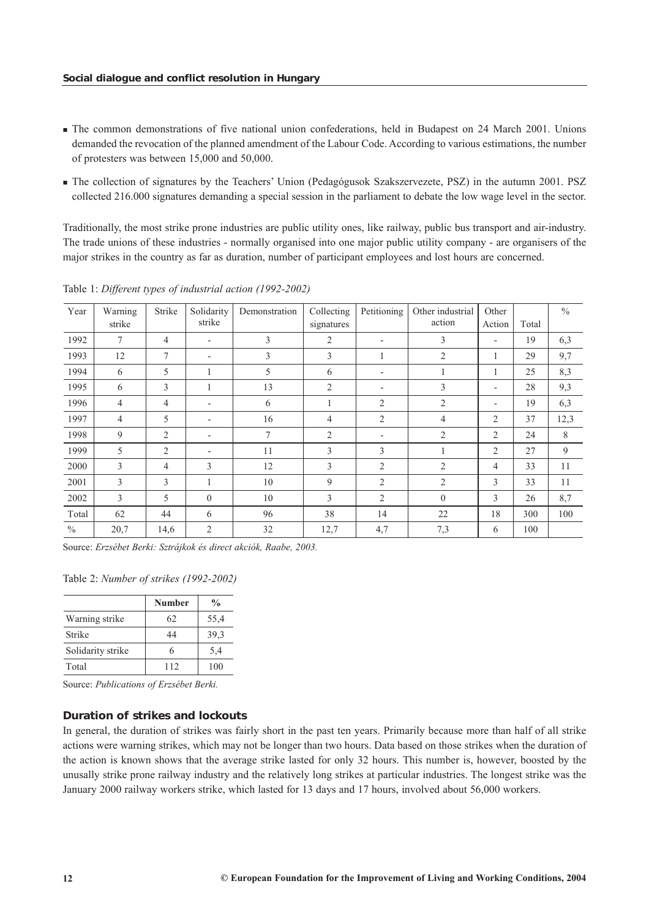- The common demonstrations of five national union confederations, held in Budapest on 24 March 2001. Unions demanded the revocation of the planned amendment of the Labour Code. According to various estimations, the number of protesters was between 15,000 and 50,000.
- The collection of signatures by the Teachers' Union (Pedagógusok Szakszervezete, PSZ) in the autumn 2001. PSZ collected 216.000 signatures demanding a special session in the parliament to debate the low wage level in the sector.

Traditionally, the most strike prone industries are public utility ones, like railway, public bus transport and air-industry. The trade unions of these industries - normally organised into one major public utility company - are organisers of the major strikes in the country as far as duration, number of participant employees and lost hours are concerned.

| Year          | Warning<br>strike | Strike         | Solidarity<br>strike     | Demonstration | Collecting<br>signatures | Petitioning              | Other industrial<br>action | Other<br>Action          | Total | $\frac{0}{0}$ |
|---------------|-------------------|----------------|--------------------------|---------------|--------------------------|--------------------------|----------------------------|--------------------------|-------|---------------|
| 1992          | $\tau$            | $\overline{4}$ | $\overline{\phantom{0}}$ | 3             | $\overline{2}$           | $\overline{\phantom{a}}$ | 3                          | $\overline{\phantom{a}}$ | 19    | 6,3           |
| 1993          | 12                | 7              |                          | 3             | 3                        |                          | 2                          | J.                       | 29    | 9,7           |
| 1994          | 6                 | 5              |                          | 5             | 6                        | -                        |                            | $\mathbf{1}$             | 25    | 8,3           |
| 1995          | 6                 | 3              |                          | 13            | $\overline{2}$           |                          | 3                          | $\overline{\phantom{a}}$ | 28    | 9,3           |
| 1996          | $\overline{4}$    | $\overline{4}$ | $\overline{\phantom{0}}$ | 6             |                          | 2                        | $\overline{2}$             | $\overline{\phantom{a}}$ | 19    | 6,3           |
| 1997          | $\overline{4}$    | 5              |                          | 16            | 4                        | 2                        | 4                          | $\overline{c}$           | 37    | 12,3          |
| 1998          | 9                 | 2              | $\overline{\phantom{0}}$ | $\tau$        | $\overline{2}$           |                          | $\overline{2}$             | 2                        | 24    | 8             |
| 1999          | 5                 | 2              |                          | 11            | 3                        | 3                        |                            | 2                        | 27    | 9             |
| 2000          | 3                 | $\overline{4}$ | 3                        | 12            | 3                        | 2                        | $\overline{2}$             | 4                        | 33    | 11            |
| 2001          | 3                 | 3              |                          | 10            | 9                        | 2                        | $\overline{2}$             | 3                        | 33    | 11            |
| 2002          | 3                 | 5              | $\theta$                 | 10            | 3                        | 2                        | $\theta$                   | 3                        | 26    | 8,7           |
| Total         | 62                | 44             | 6                        | 96            | 38                       | 14                       | 22                         | 18                       | 300   | 100           |
| $\frac{0}{0}$ | 20,7              | 14,6           | 2                        | 32            | 12,7                     | 4,7                      | 7,3                        | 6                        | 100   |               |

Table 1: *Different types of industrial action (1992-2002)*

Source: *Erzsébet Berki: Sztrájkok és direct akciók, Raabe, 2003.*

Table 2: *Number of strikes (1992-2002)*

|                   | <b>Number</b> | $\frac{0}{0}$ |
|-------------------|---------------|---------------|
| Warning strike    | 62            | 55,4          |
| Strike            | 44            | 39,3          |
| Solidarity strike |               | 5,4           |
| Total             | 112           | 100           |

Source: *Publications of Erzsébet Berki.*

#### *Duration of strikes and lockouts*

In general, the duration of strikes was fairly short in the past ten years. Primarily because more than half of all strike actions were warning strikes, which may not be longer than two hours. Data based on those strikes when the duration of the action is known shows that the average strike lasted for only 32 hours. This number is, however, boosted by the unusally strike prone railway industry and the relatively long strikes at particular industries. The longest strike was the January 2000 railway workers strike, which lasted for 13 days and 17 hours, involved about 56,000 workers.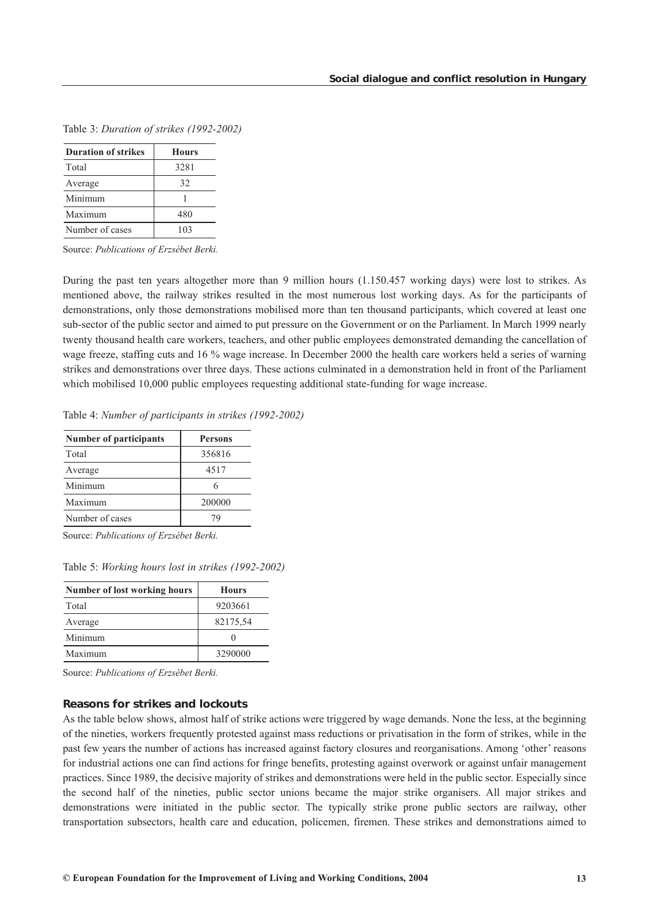| <b>Duration of strikes</b> | <b>Hours</b> |
|----------------------------|--------------|
| Total                      | 3281         |
| Average                    | 32           |
| Minimum                    |              |
| Maximum                    | 480          |
| Number of cases            | 103          |

Table 3: *Duration of strikes (1992-2002)*

Source: *Publications of Erzsébet Berki.*

During the past ten years altogether more than 9 million hours (1.150.457 working days) were lost to strikes. As mentioned above, the railway strikes resulted in the most numerous lost working days. As for the participants of demonstrations, only those demonstrations mobilised more than ten thousand participants, which covered at least one sub-sector of the public sector and aimed to put pressure on the Government or on the Parliament. In March 1999 nearly twenty thousand health care workers, teachers, and other public employees demonstrated demanding the cancellation of wage freeze, staffing cuts and 16 % wage increase. In December 2000 the health care workers held a series of warning strikes and demonstrations over three days. These actions culminated in a demonstration held in front of the Parliament which mobilised 10,000 public employees requesting additional state-funding for wage increase.

Table 4: *Number of participants in strikes (1992-2002)*

| Persons |
|---------|
| 356816  |
| 4517    |
|         |
| 200000  |
| 79      |
|         |

Source: *Publications of Erzsébet Berki.*

Table 5: *Working hours lost in strikes (1992-2002)*

| <b>Number of lost working hours</b> | <b>Hours</b> |
|-------------------------------------|--------------|
| Total                               | 9203661      |
| Average                             | 82175,54     |
| Minimum                             |              |
| Maximum                             | 3290000      |

Source: *Publications of Erzsébet Berki.*

#### *Reasons for strikes and lockouts*

As the table below shows, almost half of strike actions were triggered by wage demands. None the less, at the beginning of the nineties, workers frequently protested against mass reductions or privatisation in the form of strikes, while in the past few years the number of actions has increased against factory closures and reorganisations. Among 'other' reasons for industrial actions one can find actions for fringe benefits, protesting against overwork or against unfair management practices. Since 1989, the decisive majority of strikes and demonstrations were held in the public sector. Especially since the second half of the nineties, public sector unions became the major strike organisers. All major strikes and demonstrations were initiated in the public sector. The typically strike prone public sectors are railway, other transportation subsectors, health care and education, policemen, firemen. These strikes and demonstrations aimed to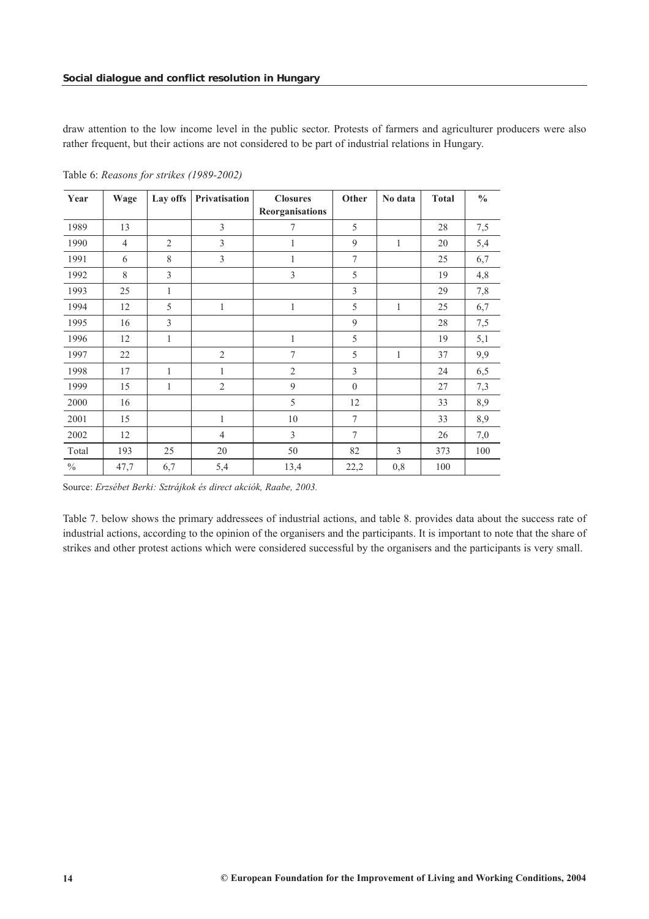draw attention to the low income level in the public sector. Protests of farmers and agriculturer producers were also rather frequent, but their actions are not considered to be part of industrial relations in Hungary.

| Year          | Wage           | Lay offs       | Privatisation  | <b>Closures</b><br>Reorganisations | Other            | No data      | <b>Total</b> | $\frac{0}{0}$ |
|---------------|----------------|----------------|----------------|------------------------------------|------------------|--------------|--------------|---------------|
|               |                |                |                |                                    |                  |              |              |               |
| 1989          | 13             |                | 3              | 7                                  | 5                |              | 28           | 7,5           |
| 1990          | $\overline{4}$ | $\overline{2}$ | 3              | 1                                  | 9                | $\mathbf{1}$ | 20           | 5,4           |
| 1991          | 6              | 8              | 3              | 1                                  | 7                |              | 25           | 6,7           |
| 1992          | 8              | $\mathfrak{Z}$ |                | 3                                  | 5                |              | 19           | 4,8           |
| 1993          | 25             | $\mathbf{1}$   |                |                                    | 3                |              | 29           | 7,8           |
| 1994          | 12             | 5              | 1              | 1                                  | 5                | 1            | 25           | 6,7           |
| 1995          | 16             | 3              |                |                                    | 9                |              | 28           | 7,5           |
| 1996          | 12             | $\mathbf{1}$   |                | 1                                  | 5                |              | 19           | 5,1           |
| 1997          | 22             |                | $\overline{2}$ | 7                                  | 5                | 1            | 37           | 9,9           |
| 1998          | 17             | 1              | 1              | $\overline{2}$                     | 3                |              | 24           | 6,5           |
| 1999          | 15             | $\mathbf{1}$   | $\mathfrak{2}$ | 9                                  | $\boldsymbol{0}$ |              | 27           | 7,3           |
| 2000          | 16             |                |                | 5                                  | 12               |              | 33           | 8,9           |
| 2001          | 15             |                | 1              | 10                                 | 7                |              | 33           | 8,9           |
| 2002          | 12             |                | $\overline{4}$ | $\mathfrak{Z}$                     | $\overline{7}$   |              | 26           | $7,0$         |
| Total         | 193            | 25             | 20             | 50                                 | 82               | 3            | 373          | 100           |
| $\frac{0}{0}$ | 47,7           | 6,7            | 5,4            | 13,4                               | 22,2             | 0,8          | 100          |               |

Table 6: *Reasons for strikes (1989-2002)*

Source: *Erzsébet Berki: Sztrájkok és direct akciók, Raabe, 2003.*

Table 7. below shows the primary addressees of industrial actions, and table 8. provides data about the success rate of industrial actions, according to the opinion of the organisers and the participants. It is important to note that the share of strikes and other protest actions which were considered successful by the organisers and the participants is very small.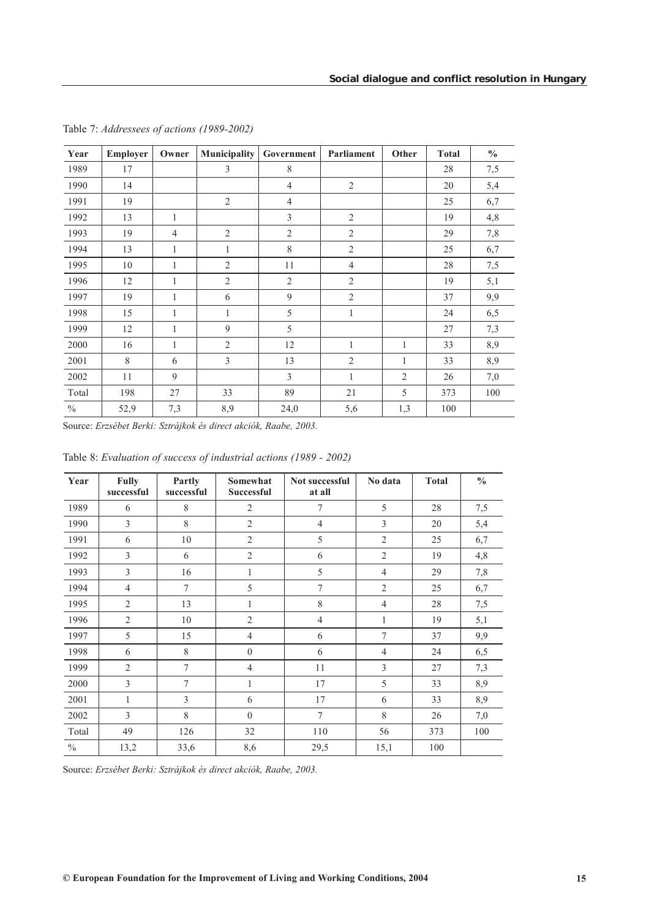| Year          | Employer | Owner          | <b>Municipality</b> | Government     | Parliament     | Other          | <b>Total</b> | $\frac{0}{0}$ |
|---------------|----------|----------------|---------------------|----------------|----------------|----------------|--------------|---------------|
| 1989          | 17       |                | $\overline{3}$      | 8              |                |                | 28           | 7,5           |
| 1990          | 14       |                |                     | $\overline{4}$ | $\overline{2}$ |                | 20           | 5,4           |
| 1991          | 19       |                | 2                   | $\overline{4}$ |                |                | 25           | 6,7           |
| 1992          | 13       | 1              |                     | 3              | 2              |                | 19           | 4,8           |
| 1993          | 19       | $\overline{4}$ | 2                   | $\overline{2}$ | $\overline{2}$ |                | 29           | 7,8           |
| 1994          | 13       | 1              | 1                   | 8              | $\overline{2}$ |                | 25           | 6,7           |
| 1995          | 10       | $\mathbf{1}$   | $\overline{2}$      | 11             | $\overline{4}$ |                | 28           | 7,5           |
| 1996          | 12       | 1              | $\mathfrak{2}$      | $\mathfrak{2}$ | $\mathfrak{2}$ |                | 19           | 5,1           |
| 1997          | 19       | 1              | 6                   | 9              | $\overline{2}$ |                | 37           | 9,9           |
| 1998          | 15       | $\mathbf{1}$   | 1                   | 5              | 1              |                | 24           | 6,5           |
| 1999          | 12       | $\mathbf{1}$   | 9                   | 5              |                |                | 27           | 7,3           |
| 2000          | 16       | $\mathbf{1}$   | $\overline{2}$      | 12             | 1              | 1              | 33           | 8,9           |
| 2001          | 8        | 6              | 3                   | 13             | $\mathfrak{2}$ | 1              | 33           | 8,9           |
| 2002          | 11       | 9              |                     | 3              | 1              | $\overline{2}$ | 26           | 7,0           |
| Total         | 198      | 27             | 33                  | 89             | 21             | 5              | 373          | 100           |
| $\frac{0}{0}$ | 52,9     | 7,3            | 8,9                 | 24,0           | 5,6            | 1,3            | 100          |               |

Table 7: *Addressees of actions (1989-2002)*

Source: *Erzsébet Berki: Sztrájkok és direct akciók, Raabe, 2003.* 

| Year          | <b>Fully</b><br>successful | Partly<br>successful | Somewhat<br>Successful | Not successful<br>at all | No data        | <b>Total</b> | $\frac{0}{0}$ |
|---------------|----------------------------|----------------------|------------------------|--------------------------|----------------|--------------|---------------|
| 1989          | 6                          | 8                    | 2                      | 7                        | 5              | 28           | 7,5           |
| 1990          | 3                          | 8                    | $\overline{2}$         | $\overline{4}$           | 3              | 20           | 5,4           |
| 1991          | 6                          | 10                   | $\overline{2}$         | 5                        | $\overline{2}$ | 25           | 6,7           |
| 1992          | 3                          | 6                    | $\overline{2}$         | 6                        | $\overline{2}$ | 19           | 4,8           |
| 1993          | 3                          | 16                   | 1                      | 5                        | $\overline{4}$ | 29           | 7,8           |
| 1994          | $\overline{4}$             | $\tau$               | 5                      | $\overline{7}$           | $\overline{2}$ | 25           | 6,7           |
| 1995          | $\overline{2}$             | 13                   | $\mathbf{1}$           | 8                        | $\overline{4}$ | 28           | 7,5           |
| 1996          | $\mathfrak{2}$             | 10                   | $\mathfrak{2}$         | $\overline{4}$           | $\mathbf{1}$   | 19           | 5,1           |
| 1997          | 5                          | 15                   | $\overline{4}$         | 6                        | 7              | 37           | 9,9           |
| 1998          | 6                          | 8                    | $\mathbf{0}$           | 6                        | $\overline{4}$ | 24           | 6,5           |
| 1999          | $\overline{2}$             | $\tau$               | $\overline{4}$         | 11                       | 3              | 27           | 7,3           |
| 2000          | 3                          | $\tau$               | $\mathbf{1}$           | 17                       | 5              | 33           | 8,9           |
| 2001          | 1                          | $\overline{3}$       | 6                      | 17                       | 6              | 33           | 8,9           |
| 2002          | 3                          | 8                    | $\theta$               | $\tau$                   | 8              | 26           | 7,0           |
| Total         | 49                         | 126                  | 32                     | 110                      | 56             | 373          | 100           |
| $\frac{0}{0}$ | 13,2                       | 33,6                 | 8,6                    | 29,5                     | 15,1           | 100          |               |

Table 8: *Evaluation of success of industrial actions (1989 - 2002)*

Source: *Erzsébet Berki: Sztrájkok és direct akciók, Raabe, 2003.*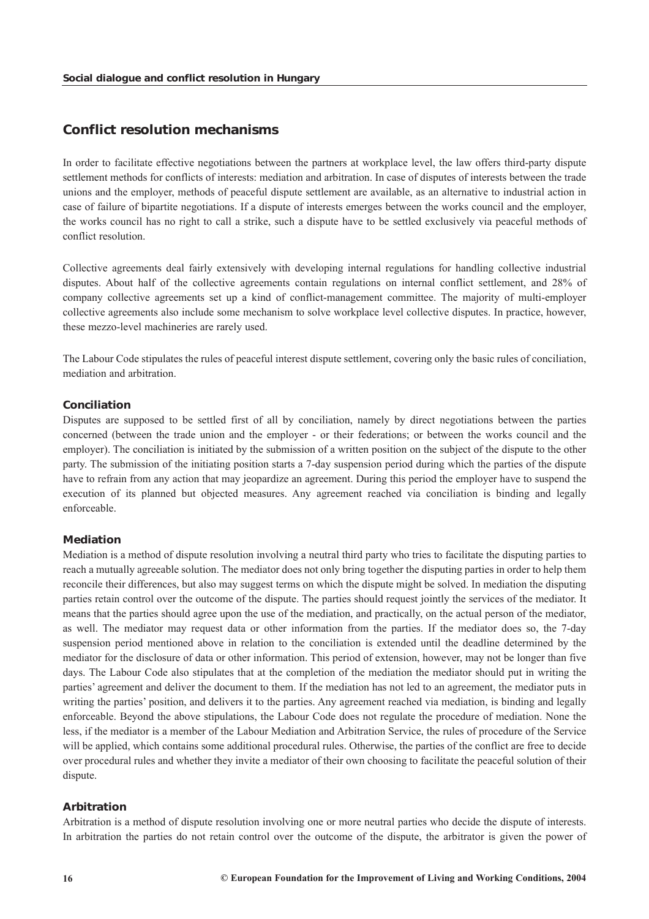# <span id="page-16-0"></span>*Conflict resolution mechanisms*

In order to facilitate effective negotiations between the partners at workplace level, the law offers third-party dispute settlement methods for conflicts of interests: mediation and arbitration. In case of disputes of interests between the trade unions and the employer, methods of peaceful dispute settlement are available, as an alternative to industrial action in case of failure of bipartite negotiations. If a dispute of interests emerges between the works council and the employer, the works council has no right to call a strike, such a dispute have to be settled exclusively via peaceful methods of conflict resolution.

Collective agreements deal fairly extensively with developing internal regulations for handling collective industrial disputes. About half of the collective agreements contain regulations on internal conflict settlement, and 28% of company collective agreements set up a kind of conflict-management committee. The majority of multi-employer collective agreements also include some mechanism to solve workplace level collective disputes. In practice, however, these mezzo-level machineries are rarely used.

The Labour Code stipulates the rules of peaceful interest dispute settlement, covering only the basic rules of conciliation, mediation and arbitration.

#### *Conciliation*

Disputes are supposed to be settled first of all by conciliation, namely by direct negotiations between the parties concerned (between the trade union and the employer - or their federations; or between the works council and the employer). The conciliation is initiated by the submission of a written position on the subject of the dispute to the other party. The submission of the initiating position starts a 7-day suspension period during which the parties of the dispute have to refrain from any action that may jeopardize an agreement. During this period the employer have to suspend the execution of its planned but objected measures. Any agreement reached via conciliation is binding and legally enforceable.

#### *Mediation*

Mediation is a method of dispute resolution involving a neutral third party who tries to facilitate the disputing parties to reach a mutually agreeable solution. The mediator does not only bring together the disputing parties in order to help them reconcile their differences, but also may suggest terms on which the dispute might be solved. In mediation the disputing parties retain control over the outcome of the dispute. The parties should request jointly the services of the mediator. It means that the parties should agree upon the use of the mediation, and practically, on the actual person of the mediator, as well. The mediator may request data or other information from the parties. If the mediator does so, the 7-day suspension period mentioned above in relation to the conciliation is extended until the deadline determined by the mediator for the disclosure of data or other information. This period of extension, however, may not be longer than five days. The Labour Code also stipulates that at the completion of the mediation the mediator should put in writing the parties' agreement and deliver the document to them. If the mediation has not led to an agreement, the mediator puts in writing the parties' position, and delivers it to the parties. Any agreement reached via mediation, is binding and legally enforceable. Beyond the above stipulations, the Labour Code does not regulate the procedure of mediation. None the less, if the mediator is a member of the Labour Mediation and Arbitration Service, the rules of procedure of the Service will be applied, which contains some additional procedural rules. Otherwise, the parties of the conflict are free to decide over procedural rules and whether they invite a mediator of their own choosing to facilitate the peaceful solution of their dispute.

## *Arbitration*

Arbitration is a method of dispute resolution involving one or more neutral parties who decide the dispute of interests. In arbitration the parties do not retain control over the outcome of the dispute, the arbitrator is given the power of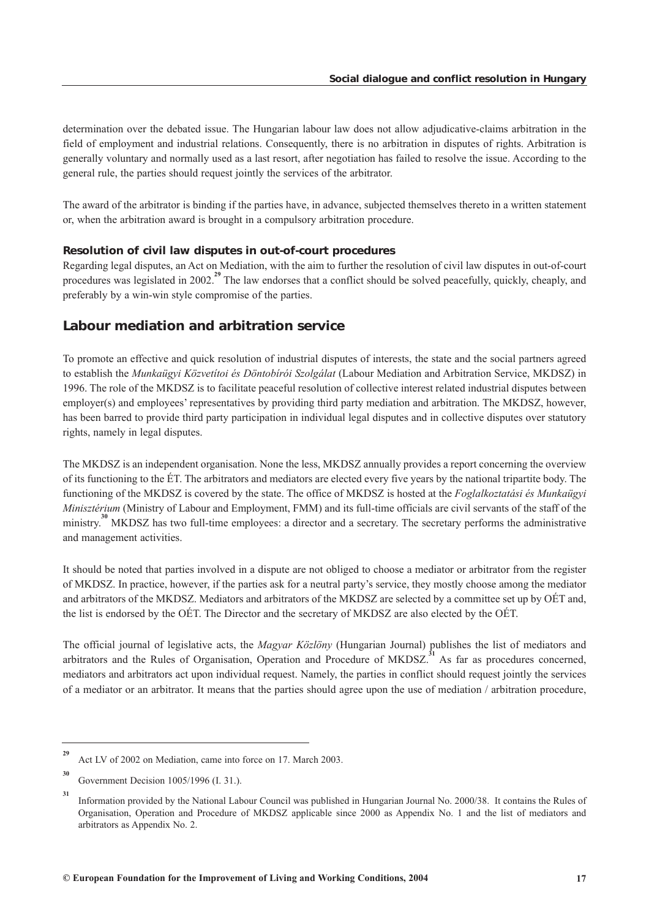<span id="page-17-0"></span>determination over the debated issue. The Hungarian labour law does not allow adjudicative-claims arbitration in the field of employment and industrial relations. Consequently, there is no arbitration in disputes of rights. Arbitration is generally voluntary and normally used as a last resort, after negotiation has failed to resolve the issue. According to the general rule, the parties should request jointly the services of the arbitrator.

The award of the arbitrator is binding if the parties have, in advance, subjected themselves thereto in a written statement or, when the arbitration award is brought in a compulsory arbitration procedure.

#### *Resolution of civil law disputes in out-of-court procedures*

Regarding legal disputes, an Act on Mediation, with the aim to further the resolution of civil law disputes in out-of-court procedures was legislated in 2002.<sup>29</sup> The law endorses that a conflict should be solved peacefully, quickly, cheaply, and preferably by a win-win style compromise of the parties.

## *Labour mediation and arbitration service*

To promote an effective and quick resolution of industrial disputes of interests, the state and the social partners agreed to establish the *Munkaügyi Közvetítoi és Döntobírói Szolgálat* (Labour Mediation and Arbitration Service, MKDSZ) in 1996. The role of the MKDSZ is to facilitate peaceful resolution of collective interest related industrial disputes between employer(s) and employees' representatives by providing third party mediation and arbitration. The MKDSZ, however, has been barred to provide third party participation in individual legal disputes and in collective disputes over statutory rights, namely in legal disputes.

The MKDSZ is an independent organisation. None the less, MKDSZ annually provides a report concerning the overview of its functioning to the ÉT. The arbitrators and mediators are elected every five years by the national tripartite body. The functioning of the MKDSZ is covered by the state. The office of MKDSZ is hosted at the *Foglalkoztatási és Munkaügyi Minisztérium* (Ministry of Labour and Employment, FMM) and its full-time officials are civil servants of the staff of the ministry.<sup>30</sup> MKDSZ has two full-time employees: a director and a secretary. The secretary performs the administrative and management activities.

It should be noted that parties involved in a dispute are not obliged to choose a mediator or arbitrator from the register of MKDSZ. In practice, however, if the parties ask for a neutral party's service, they mostly choose among the mediator and arbitrators of the MKDSZ. Mediators and arbitrators of the MKDSZ are selected by a committee set up by OÉT and, the list is endorsed by the OÉT. The Director and the secretary of MKDSZ are also elected by the OÉT.

The official journal of legislative acts, the *Magyar Közlöny* (Hungarian Journal) publishes the list of mediators and arbitrators and the Rules of Organisation, Operation and Procedure of MKDSZ.<sup>31</sup> As far as procedures concerned, mediators and arbitrators act upon individual request. Namely, the parties in conflict should request jointly the services of a mediator or an arbitrator. It means that the parties should agree upon the use of mediation / arbitration procedure,

**<sup>29</sup>** Act LV of 2002 on Mediation, came into force on 17. March 2003.

**<sup>30</sup>** Government Decision 1005/1996 (I. 31.).

**<sup>31</sup>** Information provided by the National Labour Council was published in Hungarian Journal No. 2000/38. It contains the Rules of Organisation, Operation and Procedure of MKDSZ applicable since 2000 as Appendix No. 1 and the list of mediators and arbitrators as Appendix No. 2.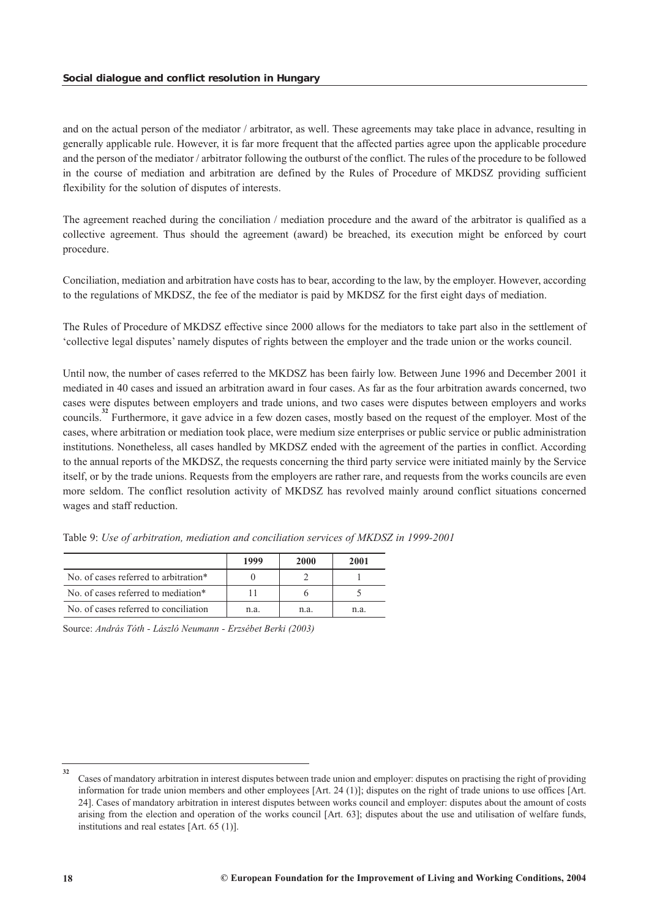and on the actual person of the mediator / arbitrator, as well. These agreements may take place in advance, resulting in generally applicable rule. However, it is far more frequent that the affected parties agree upon the applicable procedure and the person of the mediator / arbitrator following the outburst of the conflict. The rules of the procedure to be followed in the course of mediation and arbitration are defined by the Rules of Procedure of MKDSZ providing sufficient flexibility for the solution of disputes of interests.

The agreement reached during the conciliation / mediation procedure and the award of the arbitrator is qualified as a collective agreement. Thus should the agreement (award) be breached, its execution might be enforced by court procedure.

Conciliation, mediation and arbitration have costs has to bear, according to the law, by the employer. However, according to the regulations of MKDSZ, the fee of the mediator is paid by MKDSZ for the first eight days of mediation.

The Rules of Procedure of MKDSZ effective since 2000 allows for the mediators to take part also in the settlement of 'collective legal disputes' namely disputes of rights between the employer and the trade union or the works council.

Until now, the number of cases referred to the MKDSZ has been fairly low. Between June 1996 and December 2001 it mediated in 40 cases and issued an arbitration award in four cases. As far as the four arbitration awards concerned, two cases were disputes between employers and trade unions, and two cases were disputes between employers and works councils.<sup>32</sup> Furthermore, it gave advice in a few dozen cases, mostly based on the request of the employer. Most of the cases, where arbitration or mediation took place, were medium size enterprises or public service or public administration institutions. Nonetheless, all cases handled by MKDSZ ended with the agreement of the parties in conflict. According to the annual reports of the MKDSZ, the requests concerning the third party service were initiated mainly by the Service itself, or by the trade unions. Requests from the employers are rather rare, and requests from the works councils are even more seldom. The conflict resolution activity of MKDSZ has revolved mainly around conflict situations concerned wages and staff reduction.

|                                       | 1999 | 2000 | 2001 |
|---------------------------------------|------|------|------|
| No. of cases referred to arbitration* |      |      |      |
| No. of cases referred to mediation*   |      |      |      |
| No. of cases referred to conciliation | n.a. | n.a. | nа   |

Table 9: *Use of arbitration, mediation and conciliation services of MKDSZ in 1999-2001*

Source: *András Tóth - László Neumann - Erzsébet Berki (2003)*

**<sup>32</sup>** Cases of mandatory arbitration in interest disputes between trade union and employer: disputes on practising the right of providing information for trade union members and other employees [Art. 24 (1)]; disputes on the right of trade unions to use offices [Art. 24]. Cases of mandatory arbitration in interest disputes between works council and employer: disputes about the amount of costs arising from the election and operation of the works council [Art. 63]; disputes about the use and utilisation of welfare funds, institutions and real estates [Art. 65 (1)].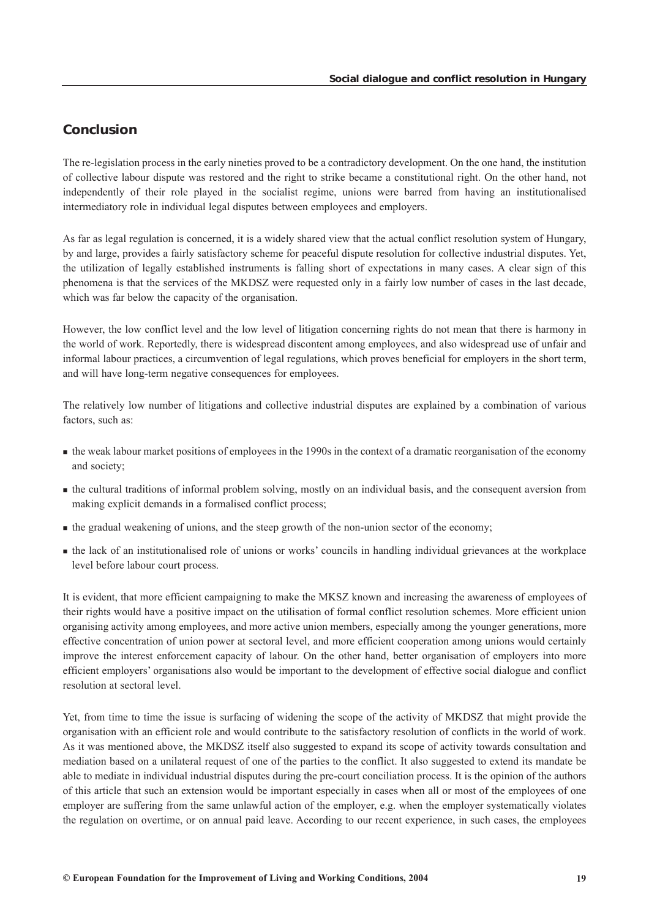# <span id="page-19-0"></span>*Conclusion*

The re-legislation process in the early nineties proved to be a contradictory development. On the one hand, the institution of collective labour dispute was restored and the right to strike became a constitutional right. On the other hand, not independently of their role played in the socialist regime, unions were barred from having an institutionalised intermediatory role in individual legal disputes between employees and employers.

As far as legal regulation is concerned, it is a widely shared view that the actual conflict resolution system of Hungary, by and large, provides a fairly satisfactory scheme for peaceful dispute resolution for collective industrial disputes. Yet, the utilization of legally established instruments is falling short of expectations in many cases. A clear sign of this phenomena is that the services of the MKDSZ were requested only in a fairly low number of cases in the last decade, which was far below the capacity of the organisation.

However, the low conflict level and the low level of litigation concerning rights do not mean that there is harmony in the world of work. Reportedly, there is widespread discontent among employees, and also widespread use of unfair and informal labour practices, a circumvention of legal regulations, which proves beneficial for employers in the short term, and will have long-term negative consequences for employees.

The relatively low number of litigations and collective industrial disputes are explained by a combination of various factors, such as:

- the weak labour market positions of employees in the 1990s in the context of a dramatic reorganisation of the economy and society;
- the cultural traditions of informal problem solving, mostly on an individual basis, and the consequent aversion from making explicit demands in a formalised conflict process;
- the gradual weakening of unions, and the steep growth of the non-union sector of the economy;
- the lack of an institutionalised role of unions or works' councils in handling individual grievances at the workplace level before labour court process.

It is evident, that more efficient campaigning to make the MKSZ known and increasing the awareness of employees of their rights would have a positive impact on the utilisation of formal conflict resolution schemes. More efficient union organising activity among employees, and more active union members, especially among the younger generations, more effective concentration of union power at sectoral level, and more efficient cooperation among unions would certainly improve the interest enforcement capacity of labour. On the other hand, better organisation of employers into more efficient employers' organisations also would be important to the development of effective social dialogue and conflict resolution at sectoral level.

Yet, from time to time the issue is surfacing of widening the scope of the activity of MKDSZ that might provide the organisation with an efficient role and would contribute to the satisfactory resolution of conflicts in the world of work. As it was mentioned above, the MKDSZ itself also suggested to expand its scope of activity towards consultation and mediation based on a unilateral request of one of the parties to the conflict. It also suggested to extend its mandate be able to mediate in individual industrial disputes during the pre-court conciliation process. It is the opinion of the authors of this article that such an extension would be important especially in cases when all or most of the employees of one employer are suffering from the same unlawful action of the employer, e.g. when the employer systematically violates the regulation on overtime, or on annual paid leave. According to our recent experience, in such cases, the employees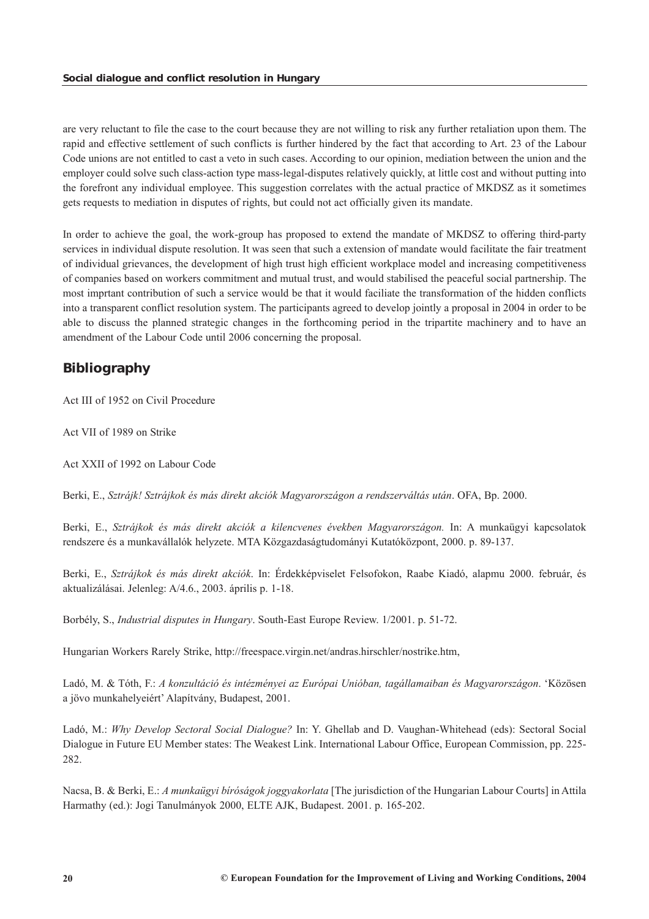<span id="page-20-0"></span>are very reluctant to file the case to the court because they are not willing to risk any further retaliation upon them. The rapid and effective settlement of such conflicts is further hindered by the fact that according to Art. 23 of the Labour Code unions are not entitled to cast a veto in such cases. According to our opinion, mediation between the union and the employer could solve such class-action type mass-legal-disputes relatively quickly, at little cost and without putting into the forefront any individual employee. This suggestion correlates with the actual practice of MKDSZ as it sometimes gets requests to mediation in disputes of rights, but could not act officially given its mandate.

In order to achieve the goal, the work-group has proposed to extend the mandate of MKDSZ to offering third-party services in individual dispute resolution. It was seen that such a extension of mandate would facilitate the fair treatment of individual grievances, the development of high trust high efficient workplace model and increasing competitiveness of companies based on workers commitment and mutual trust, and would stabilised the peaceful social partnership. The most imprtant contribution of such a service would be that it would faciliate the transformation of the hidden conflicts into a transparent conflict resolution system. The participants agreed to develop jointly a proposal in 2004 in order to be able to discuss the planned strategic changes in the forthcoming period in the tripartite machinery and to have an amendment of the Labour Code until 2006 concerning the proposal.

# *Bibliography*

Act III of 1952 on Civil Procedure

Act VII of 1989 on Strike

Act XXII of 1992 on Labour Code

Berki, E., *Sztrájk! Sztrájkok és más direkt akciók Magyarországon a rendszerváltás után*. OFA, Bp. 2000.

Berki, E., *Sztrájkok és más direkt akciók a kilencvenes években Magyarországon.* In: A munkaügyi kapcsolatok rendszere és a munkavállalók helyzete. MTA Közgazdaságtudományi Kutatóközpont, 2000. p. 89-137.

Berki, E., *Sztrájkok és más direkt akciók*. In: Érdekképviselet Felsofokon, Raabe Kiadó, alapmu 2000. február, és aktualizálásai. Jelenleg: A/4.6., 2003. április p. 1-18.

Borbély, S., *Industrial disputes in Hungary*. South-East Europe Review. 1/2001. p. 51-72.

Hungarian Workers Rarely Strike, http://freespace.virgin.net/andras.hirschler/nostrike.htm,

Ladó, M. & Tóth, F.: *A konzultáció és intézményei az Európai Unióban, tagállamaiban és Magyarországon*. 'Közösen a jövo munkahelyeiért' Alapítvány, Budapest, 2001.

Ladó, M.: *Why Develop Sectoral Social Dialogue?* In: Y. Ghellab and D. Vaughan-Whitehead (eds): Sectoral Social Dialogue in Future EU Member states: The Weakest Link. International Labour Office, European Commission, pp. 225- 282.

Nacsa, B. & Berki, E.: *A munkaügyi bíróságok joggyakorlata* [The jurisdiction of the Hungarian Labour Courts] in Attila Harmathy (ed.): Jogi Tanulmányok 2000, ELTE AJK, Budapest. 2001. p. 165-202.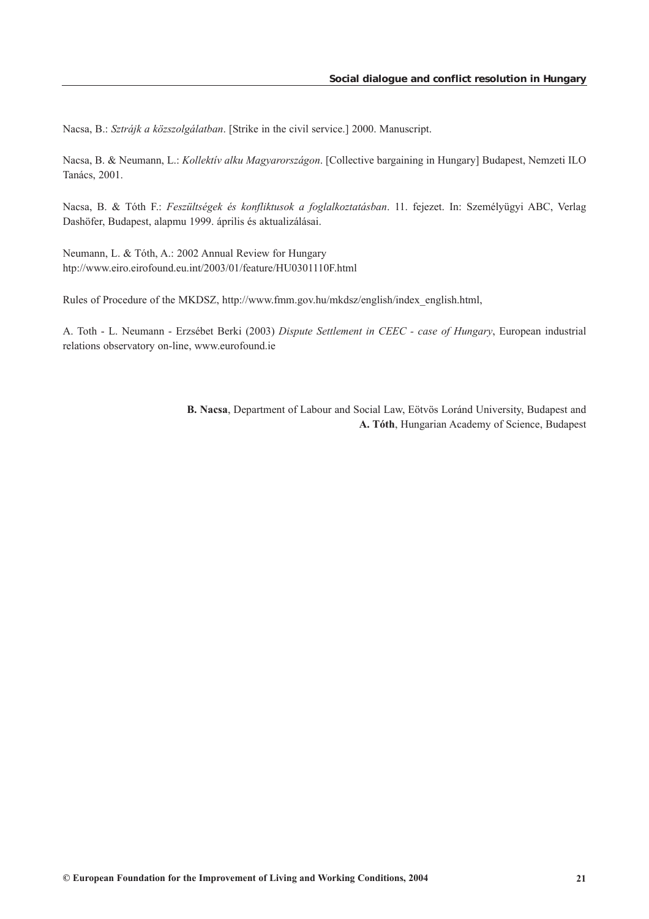Nacsa, B.: *Sztrájk a közszolgálatban*. [Strike in the civil service.] 2000. Manuscript.

Nacsa, B. & Neumann, L.: *Kollektív alku Magyarországon*. [Collective bargaining in Hungary] Budapest, Nemzeti ILO Tanács, 2001.

Nacsa, B. & Tóth F.: *Feszültségek és konfliktusok a foglalkoztatásban*. 11. fejezet. In: Személyügyi ABC, Verlag Dashöfer, Budapest, alapmu 1999. április és aktualizálásai.

Neumann, L. & Tóth, A.: 2002 Annual Review for Hungary htp://www.eiro.eirofound.eu.int/2003/01/feature/HU0301110F.html

Rules of Procedure of the MKDSZ, http://www.fmm.gov.hu/mkdsz/english/index\_english.html,

A. Toth - L. Neumann - Erzsébet Berki (2003) *Dispute Settlement in CEEC - case of Hungary*, European industrial relations observatory on-line, www.eurofound.ie

> **B. Nacsa**, Department of Labour and Social Law, Eötvös Loránd University, Budapest and **A. Tóth**, Hungarian Academy of Science, Budapest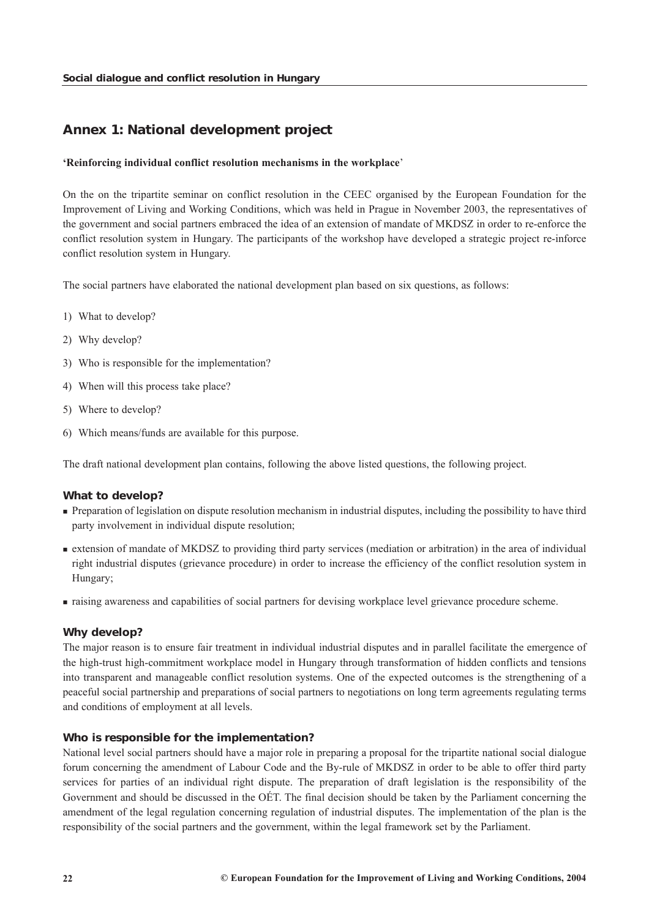# <span id="page-22-0"></span>*Annex 1: National development project*

#### **'Reinforcing individual conflict resolution mechanisms in the workplace**'

On the on the tripartite seminar on conflict resolution in the CEEC organised by the European Foundation for the Improvement of Living and Working Conditions, which was held in Prague in November 2003, the representatives of the government and social partners embraced the idea of an extension of mandate of MKDSZ in order to re-enforce the conflict resolution system in Hungary. The participants of the workshop have developed a strategic project re-inforce conflict resolution system in Hungary.

The social partners have elaborated the national development plan based on six questions, as follows:

- 1) What to develop?
- 2) Why develop?
- 3) Who is responsible for the implementation?
- 4) When will this process take place?
- 5) Where to develop?
- 6) Which means/funds are available for this purpose.

The draft national development plan contains, following the above listed questions, the following project.

## *What to develop?*

- **Preparation of legislation on dispute resolution mechanism in industrial disputes, including the possibility to have third** party involvement in individual dispute resolution;
- extension of mandate of MKDSZ to providing third party services (mediation or arbitration) in the area of individual right industrial disputes (grievance procedure) in order to increase the efficiency of the conflict resolution system in Hungary;
- raising awareness and capabilities of social partners for devising workplace level grievance procedure scheme.

#### *Why develop?*

The major reason is to ensure fair treatment in individual industrial disputes and in parallel facilitate the emergence of the high-trust high-commitment workplace model in Hungary through transformation of hidden conflicts and tensions into transparent and manageable conflict resolution systems. One of the expected outcomes is the strengthening of a peaceful social partnership and preparations of social partners to negotiations on long term agreements regulating terms and conditions of employment at all levels.

## *Who is responsible for the implementation?*

National level social partners should have a major role in preparing a proposal for the tripartite national social dialogue forum concerning the amendment of Labour Code and the By-rule of MKDSZ in order to be able to offer third party services for parties of an individual right dispute. The preparation of draft legislation is the responsibility of the Government and should be discussed in the OÉT. The final decision should be taken by the Parliament concerning the amendment of the legal regulation concerning regulation of industrial disputes. The implementation of the plan is the responsibility of the social partners and the government, within the legal framework set by the Parliament.